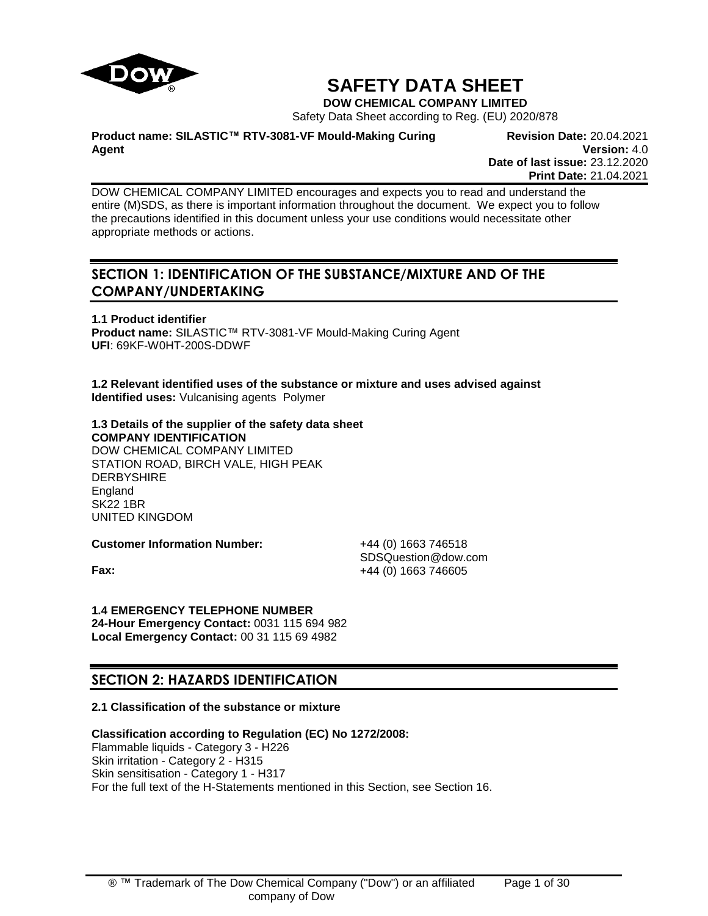

# **SAFETY DATA SHEET**

**DOW CHEMICAL COMPANY LIMITED**

Safety Data Sheet according to Reg. (EU) 2020/878

**Product name: SILASTIC™ RTV-3081-VF Mould-Making Curing Agent**

**Revision Date:** 20.04.2021 **Version:** 4.0 **Date of last issue:** 23.12.2020 **Print Date:** 21.04.2021

DOW CHEMICAL COMPANY LIMITED encourages and expects you to read and understand the entire (M)SDS, as there is important information throughout the document. We expect you to follow the precautions identified in this document unless your use conditions would necessitate other appropriate methods or actions.

## **SECTION 1: IDENTIFICATION OF THE SUBSTANCE/MIXTURE AND OF THE COMPANY/UNDERTAKING**

**1.1 Product identifier Product name:** SILASTIC™ RTV-3081-VF Mould-Making Curing Agent **UFI**: 69KF-W0HT-200S-DDWF

**1.2 Relevant identified uses of the substance or mixture and uses advised against Identified uses:** Vulcanising agents Polymer

#### **1.3 Details of the supplier of the safety data sheet COMPANY IDENTIFICATION**

DOW CHEMICAL COMPANY LIMITED STATION ROAD, BIRCH VALE, HIGH PEAK DERBYSHIRE England SK22 1BR UNITED KINGDOM

**Customer Information Number:** +44 (0) 1663 746518

SDSQuestion@dow.com **Fax:**  $+44 (0) 1663 746605$ 

## **1.4 EMERGENCY TELEPHONE NUMBER**

**24-Hour Emergency Contact:** 0031 115 694 982 **Local Emergency Contact:** 00 31 115 69 4982

## **SECTION 2: HAZARDS IDENTIFICATION**

## **2.1 Classification of the substance or mixture**

## **Classification according to Regulation (EC) No 1272/2008:**

Flammable liquids - Category 3 - H226 Skin irritation - Category 2 - H315 Skin sensitisation - Category 1 - H317 For the full text of the H-Statements mentioned in this Section, see Section 16.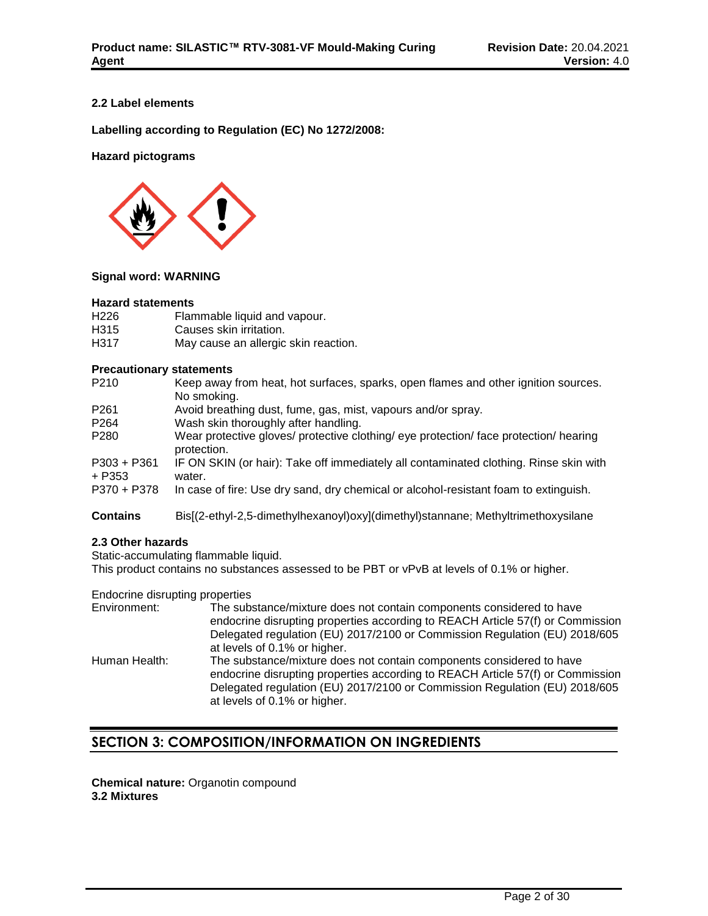## **2.2 Label elements**

**Labelling according to Regulation (EC) No 1272/2008:**

## **Hazard pictograms**



## **Signal word: WARNING**

#### **Hazard statements**

| H <sub>226</sub> | Flammable liquid and vapour.         |
|------------------|--------------------------------------|
| H315             | Causes skin irritation.              |
| H317             | May cause an allergic skin reaction. |

## **Precautionary statements**

| P <sub>210</sub>        | Keep away from heat, hot surfaces, sparks, open flames and other ignition sources.<br>No smoking.    |
|-------------------------|------------------------------------------------------------------------------------------------------|
| P <sub>261</sub>        | Avoid breathing dust, fume, gas, mist, vapours and/or spray.                                         |
| P <sub>264</sub>        | Wash skin thoroughly after handling.                                                                 |
| P <sub>280</sub>        | Wear protective gloves/ protective clothing/ eye protection/ face protection/ hearing<br>protection. |
| $P303 + P361$<br>+ P353 | IF ON SKIN (or hair): Take off immediately all contaminated clothing. Rinse skin with<br>water.      |
| P370 + P378             | In case of fire: Use dry sand, dry chemical or alcohol-resistant foam to extinguish.                 |
| <b>Contains</b>         | Bis[(2-ethyl-2,5-dimethylhexanoyl)oxy](dimethyl)stannane; Methyltrimethoxysilane                     |

## **2.3 Other hazards**

Static-accumulating flammable liquid.

This product contains no substances assessed to be PBT or vPvB at levels of 0.1% or higher.

Endocrine disrupting properties

| Environment:  | The substance/mixture does not contain components considered to have<br>endocrine disrupting properties according to REACH Article 57(f) or Commission<br>Delegated regulation (EU) 2017/2100 or Commission Regulation (EU) 2018/605<br>at levels of 0.1% or higher. |
|---------------|----------------------------------------------------------------------------------------------------------------------------------------------------------------------------------------------------------------------------------------------------------------------|
| Human Health: | The substance/mixture does not contain components considered to have<br>endocrine disrupting properties according to REACH Article 57(f) or Commission<br>Delegated regulation (EU) 2017/2100 or Commission Regulation (EU) 2018/605                                 |
|               | at levels of 0.1% or higher.                                                                                                                                                                                                                                         |

## **SECTION 3: COMPOSITION/INFORMATION ON INGREDIENTS**

**Chemical nature:** Organotin compound **3.2 Mixtures**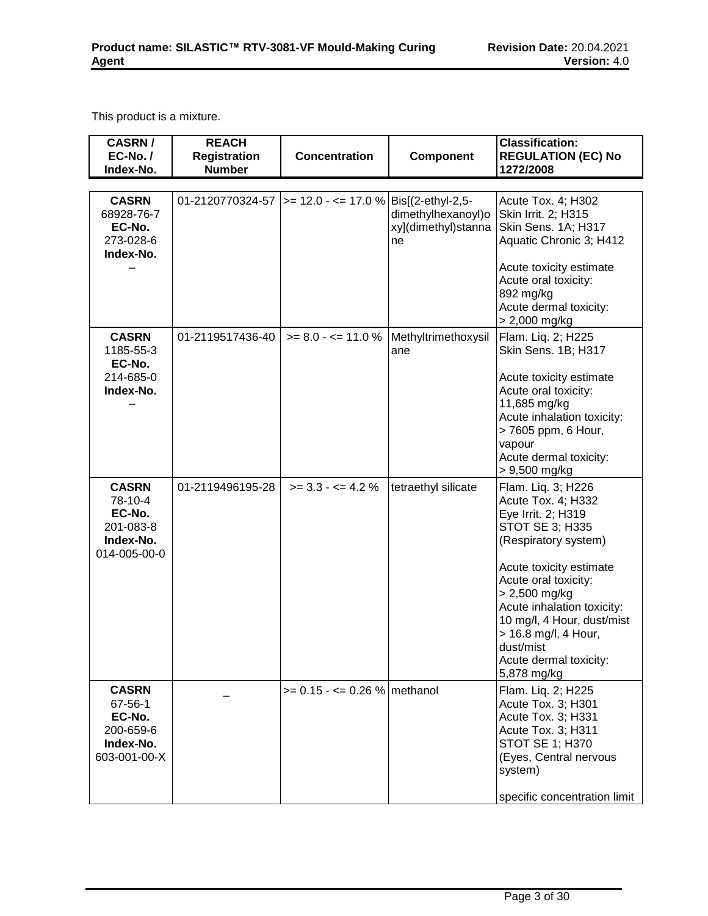This product is a mixture.

| <b>CASRN/</b><br>EC-No./                                                    | <b>REACH</b><br><b>Registration</b> | <b>Concentration</b>                                      | Component                                       | <b>Classification:</b><br><b>REGULATION (EC) No</b>                                                                                                                                                                                                                                                                              |
|-----------------------------------------------------------------------------|-------------------------------------|-----------------------------------------------------------|-------------------------------------------------|----------------------------------------------------------------------------------------------------------------------------------------------------------------------------------------------------------------------------------------------------------------------------------------------------------------------------------|
| Index-No.                                                                   | <b>Number</b>                       |                                                           |                                                 | 1272/2008                                                                                                                                                                                                                                                                                                                        |
| <b>CASRN</b><br>68928-76-7<br>EC-No.<br>273-028-6<br>Index-No.              |                                     | 01-2120770324-57  >= 12.0 - <= 17.0 %   Bis[(2-ethyl-2,5- | dimethylhexanoyl)o<br>xy](dimethyl)stanna<br>ne | Acute Tox. 4; H302<br>Skin Irrit. 2; H315<br>Skin Sens. 1A; H317<br>Aquatic Chronic 3; H412<br>Acute toxicity estimate<br>Acute oral toxicity:<br>892 mg/kg<br>Acute dermal toxicity:<br>> 2,000 mg/kg                                                                                                                           |
| <b>CASRN</b><br>1185-55-3<br>EC-No.<br>214-685-0<br>Index-No.               | 01-2119517436-40                    | $>= 8.0 - \le 11.0 %$                                     | Methyltrimethoxysil<br>ane                      | Flam. Liq. 2; H225<br>Skin Sens. 1B; H317<br>Acute toxicity estimate<br>Acute oral toxicity:<br>11,685 mg/kg<br>Acute inhalation toxicity:<br>> 7605 ppm, 6 Hour,<br>vapour<br>Acute dermal toxicity:<br>$> 9,500$ mg/kg                                                                                                         |
| <b>CASRN</b><br>78-10-4<br>EC-No.<br>201-083-8<br>Index-No.<br>014-005-00-0 | 01-2119496195-28                    | $>= 3.3 - 4.2 \%$                                         | tetraethyl silicate                             | Flam. Liq. 3; H226<br>Acute Tox. 4; H332<br>Eye Irrit. 2; H319<br><b>STOT SE 3; H335</b><br>(Respiratory system)<br>Acute toxicity estimate<br>Acute oral toxicity:<br>$> 2,500$ mg/kg<br>Acute inhalation toxicity:<br>10 mg/l, 4 Hour, dust/mist<br>> 16.8 mg/l, 4 Hour,<br>dust/mist<br>Acute dermal toxicity:<br>5,878 mg/kg |
| <b>CASRN</b><br>67-56-1<br>EC-No.<br>200-659-6<br>Index-No.<br>603-001-00-X |                                     | $>= 0.15 - \le 0.26$ % methanol                           |                                                 | Flam. Liq. 2; H225<br>Acute Tox. 3; H301<br>Acute Tox. 3; H331<br>Acute Tox. 3; H311<br><b>STOT SE 1; H370</b><br>(Eyes, Central nervous<br>system)<br>specific concentration limit                                                                                                                                              |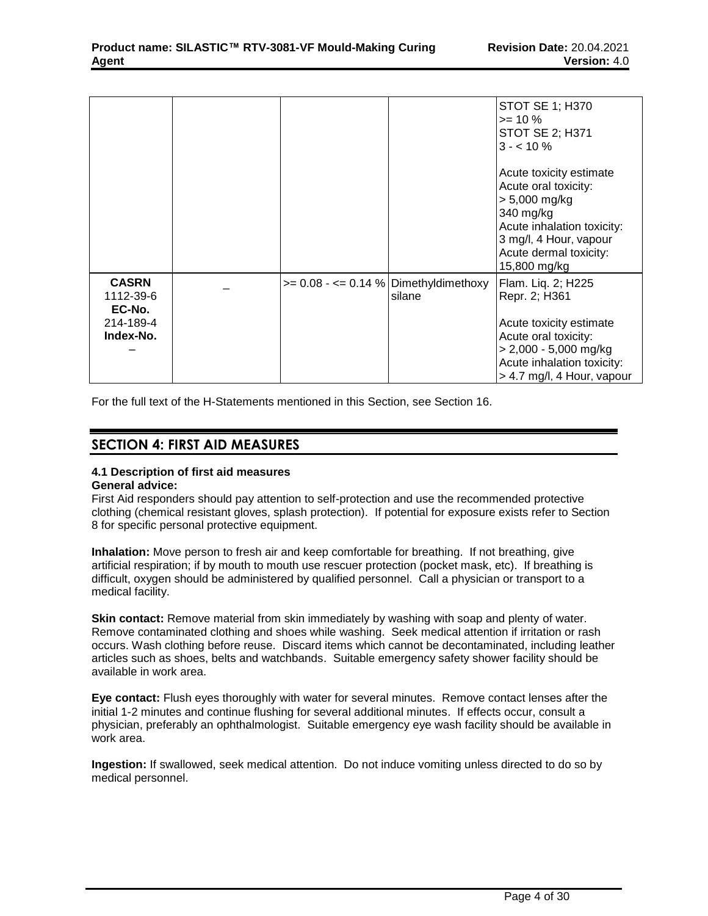|                                                               |                                          |        | <b>STOT SE 1; H370</b><br>$>= 10 \%$<br><b>STOT SE 2; H371</b><br>$3 - 10\%$                                                                                                      |
|---------------------------------------------------------------|------------------------------------------|--------|-----------------------------------------------------------------------------------------------------------------------------------------------------------------------------------|
|                                                               |                                          |        | Acute toxicity estimate<br>Acute oral toxicity:<br>$> 5,000$ mg/kg<br>340 mg/kg<br>Acute inhalation toxicity:<br>3 mg/l, 4 Hour, vapour<br>Acute dermal toxicity:<br>15,800 mg/kg |
| <b>CASRN</b><br>1112-39-6<br>EC-No.<br>214-189-4<br>Index-No. | $>= 0.08 - \le 0.14$ % Dimethyldimethoxy | silane | Flam. Liq. 2; H225<br>Repr. 2; H361<br>Acute toxicity estimate<br>Acute oral toxicity:<br>$> 2,000 - 5,000$ mg/kg<br>Acute inhalation toxicity:<br>> 4.7 mg/l, 4 Hour, vapour     |

For the full text of the H-Statements mentioned in this Section, see Section 16.

## **SECTION 4: FIRST AID MEASURES**

#### **4.1 Description of first aid measures General advice:**

First Aid responders should pay attention to self-protection and use the recommended protective clothing (chemical resistant gloves, splash protection). If potential for exposure exists refer to Section 8 for specific personal protective equipment.

**Inhalation:** Move person to fresh air and keep comfortable for breathing. If not breathing, give artificial respiration; if by mouth to mouth use rescuer protection (pocket mask, etc). If breathing is difficult, oxygen should be administered by qualified personnel. Call a physician or transport to a medical facility.

**Skin contact:** Remove material from skin immediately by washing with soap and plenty of water. Remove contaminated clothing and shoes while washing. Seek medical attention if irritation or rash occurs. Wash clothing before reuse. Discard items which cannot be decontaminated, including leather articles such as shoes, belts and watchbands. Suitable emergency safety shower facility should be available in work area.

**Eye contact:** Flush eyes thoroughly with water for several minutes. Remove contact lenses after the initial 1-2 minutes and continue flushing for several additional minutes. If effects occur, consult a physician, preferably an ophthalmologist. Suitable emergency eye wash facility should be available in work area.

**Ingestion:** If swallowed, seek medical attention. Do not induce vomiting unless directed to do so by medical personnel.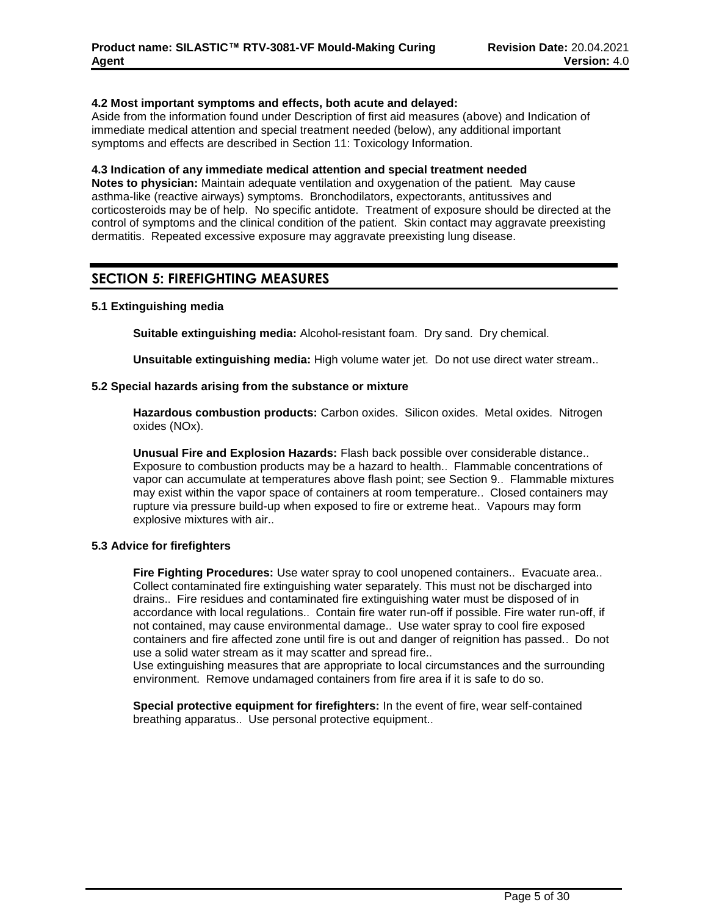## **4.2 Most important symptoms and effects, both acute and delayed:**

Aside from the information found under Description of first aid measures (above) and Indication of immediate medical attention and special treatment needed (below), any additional important symptoms and effects are described in Section 11: Toxicology Information.

### **4.3 Indication of any immediate medical attention and special treatment needed**

**Notes to physician:** Maintain adequate ventilation and oxygenation of the patient. May cause asthma-like (reactive airways) symptoms. Bronchodilators, expectorants, antitussives and corticosteroids may be of help. No specific antidote. Treatment of exposure should be directed at the control of symptoms and the clinical condition of the patient. Skin contact may aggravate preexisting dermatitis. Repeated excessive exposure may aggravate preexisting lung disease.

## **SECTION 5: FIREFIGHTING MEASURES**

## **5.1 Extinguishing media**

**Suitable extinguishing media:** Alcohol-resistant foam. Dry sand. Dry chemical.

**Unsuitable extinguishing media:** High volume water jet. Do not use direct water stream..

#### **5.2 Special hazards arising from the substance or mixture**

**Hazardous combustion products:** Carbon oxides. Silicon oxides. Metal oxides. Nitrogen oxides (NOx).

**Unusual Fire and Explosion Hazards:** Flash back possible over considerable distance.. Exposure to combustion products may be a hazard to health.. Flammable concentrations of vapor can accumulate at temperatures above flash point; see Section 9.. Flammable mixtures may exist within the vapor space of containers at room temperature.. Closed containers may rupture via pressure build-up when exposed to fire or extreme heat.. Vapours may form explosive mixtures with air..

## **5.3 Advice for firefighters**

**Fire Fighting Procedures:** Use water spray to cool unopened containers.. Evacuate area.. Collect contaminated fire extinguishing water separately. This must not be discharged into drains.. Fire residues and contaminated fire extinguishing water must be disposed of in accordance with local regulations.. Contain fire water run-off if possible. Fire water run-off, if not contained, may cause environmental damage.. Use water spray to cool fire exposed containers and fire affected zone until fire is out and danger of reignition has passed.. Do not use a solid water stream as it may scatter and spread fire..

Use extinguishing measures that are appropriate to local circumstances and the surrounding environment. Remove undamaged containers from fire area if it is safe to do so.

**Special protective equipment for firefighters:** In the event of fire, wear self-contained breathing apparatus.. Use personal protective equipment..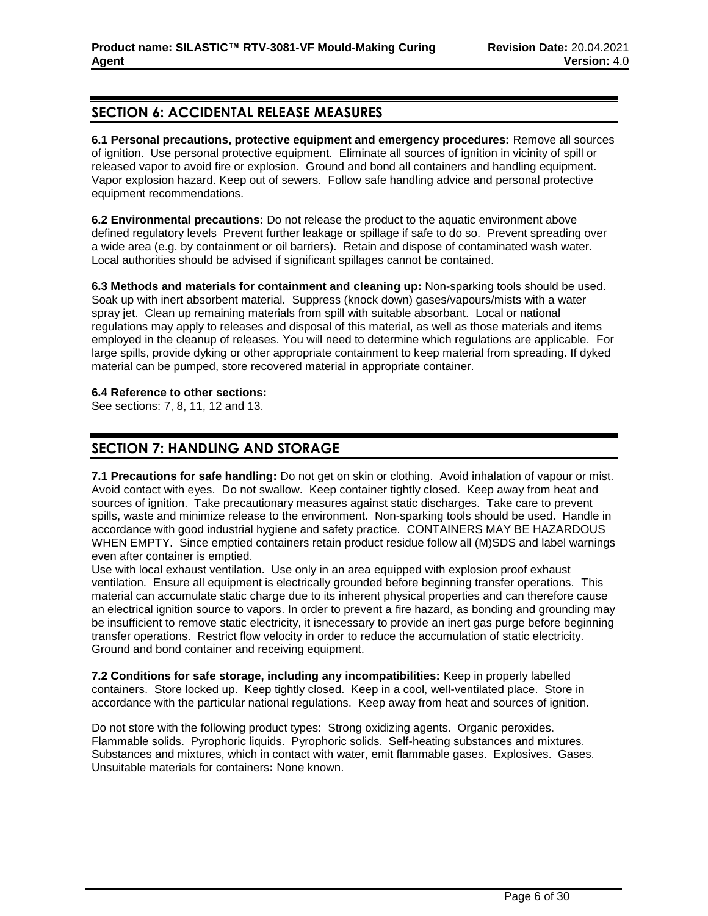## **SECTION 6: ACCIDENTAL RELEASE MEASURES**

**6.1 Personal precautions, protective equipment and emergency procedures:** Remove all sources of ignition. Use personal protective equipment. Eliminate all sources of ignition in vicinity of spill or released vapor to avoid fire or explosion. Ground and bond all containers and handling equipment. Vapor explosion hazard. Keep out of sewers. Follow safe handling advice and personal protective equipment recommendations.

**6.2 Environmental precautions:** Do not release the product to the aquatic environment above defined regulatory levels Prevent further leakage or spillage if safe to do so. Prevent spreading over a wide area (e.g. by containment or oil barriers). Retain and dispose of contaminated wash water. Local authorities should be advised if significant spillages cannot be contained.

**6.3 Methods and materials for containment and cleaning up:** Non-sparking tools should be used. Soak up with inert absorbent material. Suppress (knock down) gases/vapours/mists with a water spray jet. Clean up remaining materials from spill with suitable absorbant. Local or national regulations may apply to releases and disposal of this material, as well as those materials and items employed in the cleanup of releases. You will need to determine which regulations are applicable. For large spills, provide dyking or other appropriate containment to keep material from spreading. If dyked material can be pumped, store recovered material in appropriate container.

## **6.4 Reference to other sections:**

See sections: 7, 8, 11, 12 and 13.

## **SECTION 7: HANDLING AND STORAGE**

**7.1 Precautions for safe handling:** Do not get on skin or clothing. Avoid inhalation of vapour or mist. Avoid contact with eyes. Do not swallow. Keep container tightly closed. Keep away from heat and sources of ignition. Take precautionary measures against static discharges. Take care to prevent spills, waste and minimize release to the environment. Non-sparking tools should be used. Handle in accordance with good industrial hygiene and safety practice. CONTAINERS MAY BE HAZARDOUS WHEN EMPTY. Since emptied containers retain product residue follow all (M)SDS and label warnings even after container is emptied.

Use with local exhaust ventilation. Use only in an area equipped with explosion proof exhaust ventilation. Ensure all equipment is electrically grounded before beginning transfer operations. This material can accumulate static charge due to its inherent physical properties and can therefore cause an electrical ignition source to vapors. In order to prevent a fire hazard, as bonding and grounding may be insufficient to remove static electricity, it isnecessary to provide an inert gas purge before beginning transfer operations. Restrict flow velocity in order to reduce the accumulation of static electricity. Ground and bond container and receiving equipment.

**7.2 Conditions for safe storage, including any incompatibilities:** Keep in properly labelled containers. Store locked up. Keep tightly closed. Keep in a cool, well-ventilated place. Store in accordance with the particular national regulations. Keep away from heat and sources of ignition.

Do not store with the following product types: Strong oxidizing agents. Organic peroxides. Flammable solids. Pyrophoric liquids. Pyrophoric solids. Self-heating substances and mixtures. Substances and mixtures, which in contact with water, emit flammable gases. Explosives. Gases. Unsuitable materials for containers**:** None known.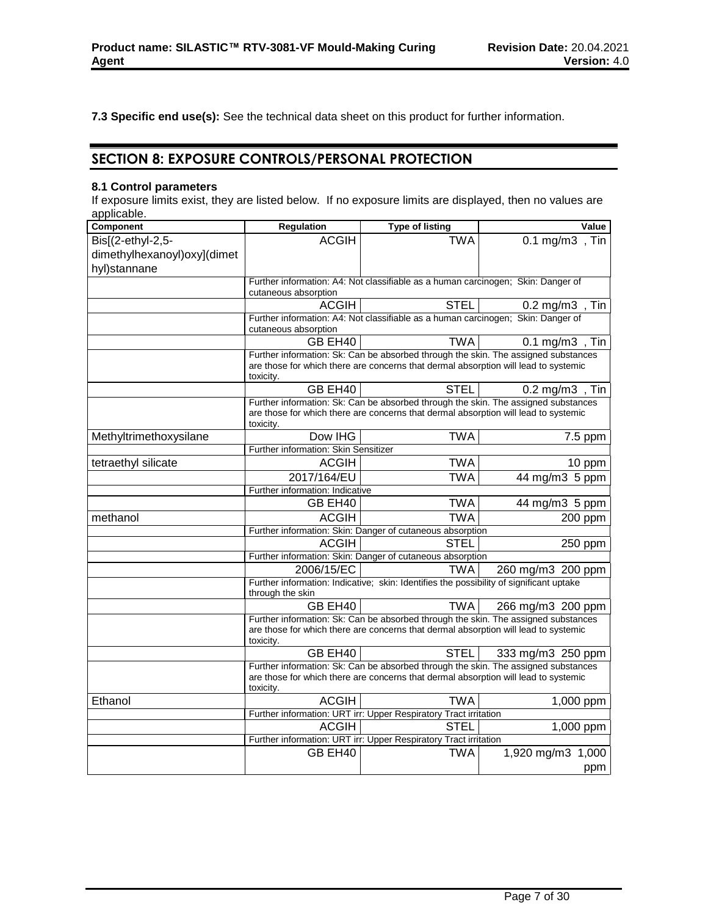**7.3 Specific end use(s):** See the technical data sheet on this product for further information.

## **SECTION 8: EXPOSURE CONTROLS/PERSONAL PROTECTION**

## **8.1 Control parameters**

If exposure limits exist, they are listed below. If no exposure limits are displayed, then no values are applicable.

| <b>Component</b>            | <b>Regulation</b>                    | <b>Type of listing</b>                                                                  | Value                                                                              |
|-----------------------------|--------------------------------------|-----------------------------------------------------------------------------------------|------------------------------------------------------------------------------------|
| Bis $[(2-ethyl-2,5-$        | <b>ACGIH</b>                         | <b>TWA</b>                                                                              | 0.1 mg/m3, Tin                                                                     |
| dimethylhexanoyl)oxy](dimet |                                      |                                                                                         |                                                                                    |
| hyl)stannane                |                                      |                                                                                         |                                                                                    |
|                             |                                      | Further information: A4: Not classifiable as a human carcinogen; Skin: Danger of        |                                                                                    |
|                             | cutaneous absorption                 |                                                                                         |                                                                                    |
|                             | <b>ACGIH</b>                         | <b>STEL</b>                                                                             | $0.2 \text{ mg/m3}$ , Tin                                                          |
|                             |                                      | Further information: A4: Not classifiable as a human carcinogen; Skin: Danger of        |                                                                                    |
|                             | cutaneous absorption                 |                                                                                         |                                                                                    |
|                             | GB EH40                              | <b>TWA</b>                                                                              | $0.1 \text{ mg/m3}$ , Tin                                                          |
|                             |                                      | are those for which there are concerns that dermal absorption will lead to systemic     | Further information: Sk: Can be absorbed through the skin. The assigned substances |
|                             | toxicity.                            |                                                                                         |                                                                                    |
|                             | GB EH40                              | <b>STEL</b>                                                                             | $0.2 \text{ mg/m3}$ , Tin                                                          |
|                             |                                      |                                                                                         | Further information: Sk: Can be absorbed through the skin. The assigned substances |
|                             | toxicity.                            | are those for which there are concerns that dermal absorption will lead to systemic     |                                                                                    |
| Methyltrimethoxysilane      | Dow IHG                              | <b>TWA</b>                                                                              | 7.5 ppm                                                                            |
|                             | Further information: Skin Sensitizer |                                                                                         |                                                                                    |
| tetraethyl silicate         | <b>ACGIH</b>                         | <b>TWA</b>                                                                              | 10 ppm                                                                             |
|                             | 2017/164/EU                          | <b>TWA</b>                                                                              | $\overline{44}$ mg/m3 5 ppm                                                        |
|                             | Further information: Indicative      |                                                                                         |                                                                                    |
|                             | GB EH40                              | <b>TWA</b>                                                                              | 44 mg/m3 5 ppm                                                                     |
| methanol                    | <b>ACGIH</b>                         | <b>TWA</b>                                                                              | 200 ppm                                                                            |
|                             |                                      | Further information: Skin: Danger of cutaneous absorption                               |                                                                                    |
|                             | <b>ACGIH</b>                         | <b>STEL</b>                                                                             | 250 ppm                                                                            |
|                             |                                      | Further information: Skin: Danger of cutaneous absorption                               |                                                                                    |
|                             | 2006/15/EC                           | <b>TWA</b>                                                                              | 260 mg/m3 200 ppm                                                                  |
|                             | through the skin                     | Further information: Indicative; skin: Identifies the possibility of significant uptake |                                                                                    |
|                             | GB EH40                              | <b>TWA</b>                                                                              | 266 mg/m3 200 ppm                                                                  |
|                             |                                      |                                                                                         | Further information: Sk: Can be absorbed through the skin. The assigned substances |
|                             | toxicity.                            | are those for which there are concerns that dermal absorption will lead to systemic     |                                                                                    |
|                             | GB EH40                              | <b>STEL</b>                                                                             | 333 mg/m3 250 ppm                                                                  |
|                             |                                      |                                                                                         | Further information: Sk: Can be absorbed through the skin. The assigned substances |
|                             | toxicity.                            | are those for which there are concerns that dermal absorption will lead to systemic     |                                                                                    |
| Ethanol                     | <b>ACGIH</b>                         | <b>TWA</b>                                                                              | 1,000 ppm                                                                          |
|                             |                                      | Further information: URT irr: Upper Respiratory Tract irritation                        |                                                                                    |
|                             | <b>ACGIH</b>                         | <b>STEL</b>                                                                             | 1,000 ppm                                                                          |
|                             |                                      | Further information: URT irr: Upper Respiratory Tract irritation                        |                                                                                    |
|                             | GB EH40                              | <b>TWA</b>                                                                              | 1,920 mg/m3 1,000                                                                  |
|                             |                                      |                                                                                         | ppm                                                                                |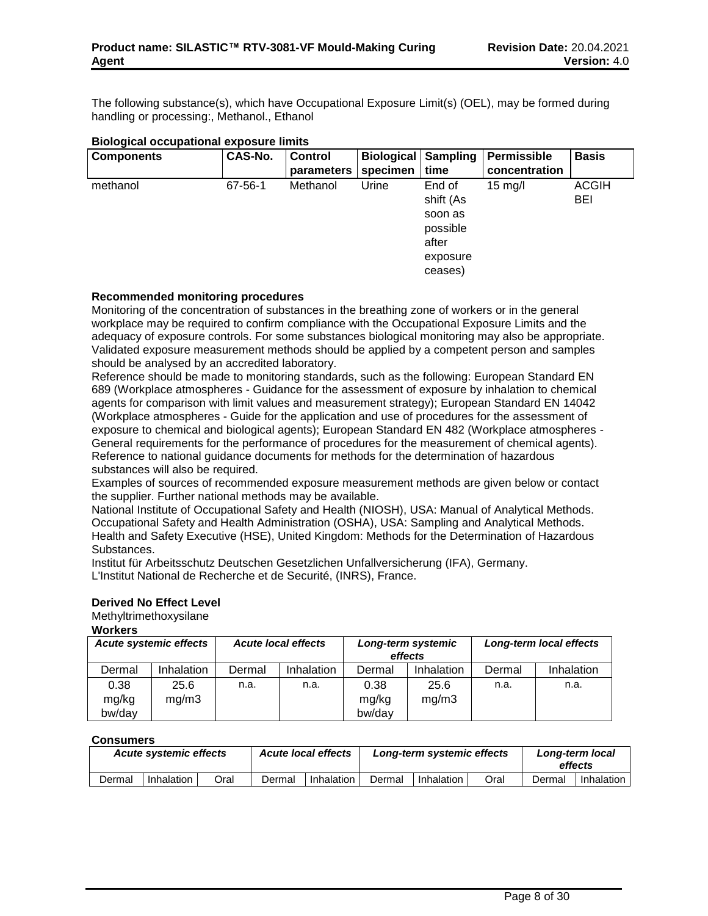The following substance(s), which have Occupational Exposure Limit(s) (OEL), may be formed during handling or processing:, Methanol., Ethanol

| <b>Components</b> | CAS-No. | <b>Control</b> | Biological | Sampling            | Permissible       | <b>Basis</b>               |
|-------------------|---------|----------------|------------|---------------------|-------------------|----------------------------|
|                   |         | parameters     | specimen   | time                | concentration     |                            |
| methanol          | 67-56-1 | Methanol       | Urine      | End of<br>shift (As | $15 \text{ mg/l}$ | <b>ACGIH</b><br><b>BEI</b> |
|                   |         |                |            | soon as             |                   |                            |
|                   |         |                |            | possible            |                   |                            |
|                   |         |                |            | after               |                   |                            |
|                   |         |                |            | exposure            |                   |                            |
|                   |         |                |            | ceases)             |                   |                            |

## **Biological occupational exposure limits**

## **Recommended monitoring procedures**

Monitoring of the concentration of substances in the breathing zone of workers or in the general workplace may be required to confirm compliance with the Occupational Exposure Limits and the adequacy of exposure controls. For some substances biological monitoring may also be appropriate. Validated exposure measurement methods should be applied by a competent person and samples should be analysed by an accredited laboratory.

Reference should be made to monitoring standards, such as the following: European Standard EN 689 (Workplace atmospheres - Guidance for the assessment of exposure by inhalation to chemical agents for comparison with limit values and measurement strategy); European Standard EN 14042 (Workplace atmospheres - Guide for the application and use of procedures for the assessment of exposure to chemical and biological agents); European Standard EN 482 (Workplace atmospheres - General requirements for the performance of procedures for the measurement of chemical agents). Reference to national guidance documents for methods for the determination of hazardous substances will also be required.

Examples of sources of recommended exposure measurement methods are given below or contact the supplier. Further national methods may be available.

National Institute of Occupational Safety and Health (NIOSH), USA: Manual of Analytical Methods. Occupational Safety and Health Administration (OSHA), USA: Sampling and Analytical Methods. Health and Safety Executive (HSE), United Kingdom: Methods for the Determination of Hazardous Substances.

Institut für Arbeitsschutz Deutschen Gesetzlichen Unfallversicherung (IFA), Germany. L'Institut National de Recherche et de Securité, (INRS), France.

## **Derived No Effect Level**

Methyltrimethoxysilane **Workers**

#### *Acute systemic effects Acute local effects Long-term systemic effects Long-term local effects* Dermal | Inhalation | Dermal | Inhalation | Dermal | Inhalation | Dermal | Inhalation 0.38 mg/kg bw/day 25.6 mg/m3 n.a. | n.a. | 0.38 mg/kg bw/day 25.6 mg/m3 n.a. n.a.

## **Consumers**

|        | <b>Acute local effects</b><br><b>Acute systemic effects</b> |      |        | Long-term systemic effects |                              | Long-term local<br>effects |        |            |
|--------|-------------------------------------------------------------|------|--------|----------------------------|------------------------------|----------------------------|--------|------------|
| Dermal | Inhalation                                                  | วral | Dermal | Inhalation                 | Oral<br>Inhalation<br>Dermal |                            | Dermal | Inhalation |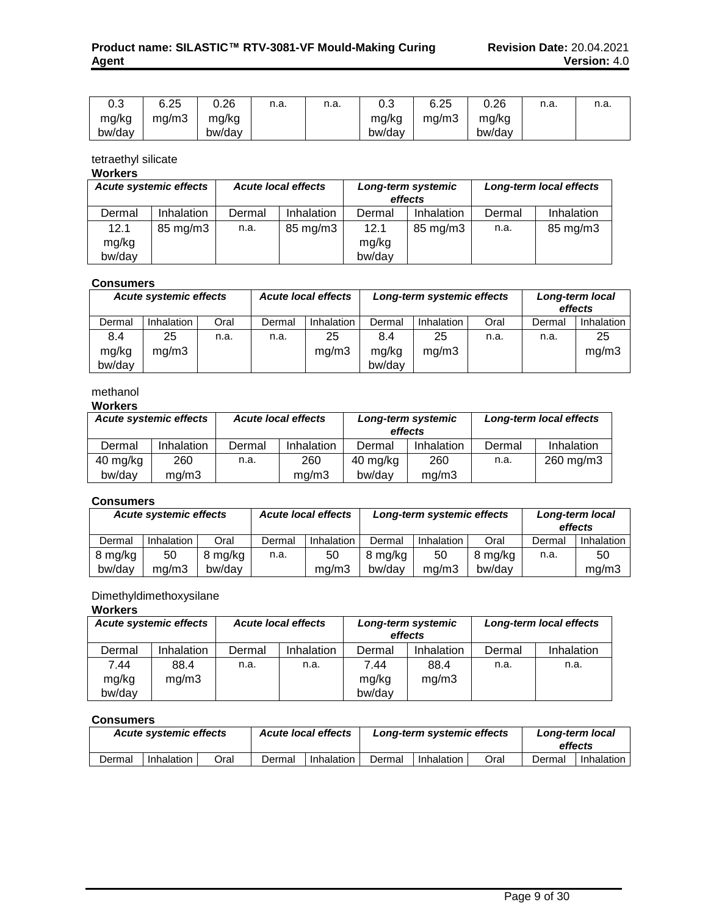| ົ<br>υ.ο | 6.25  | 0.26   | n.a. | n.a. | ົ<br>∪.∪ | 6.25  | 0.26   | n.a. | n.a. |
|----------|-------|--------|------|------|----------|-------|--------|------|------|
| mg/kg    | ma/m3 | mg/kg  |      |      | mg/kg    | ma/m3 | mg/kg  |      |      |
| bw/day   |       | bw/day |      |      | bw/day   |       | bw/day |      |      |

tetraethyl silicate

## **Workers**

| <b>Acute systemic effects</b> |            |        | <b>Acute local effects</b> |        | Long-term systemic<br>effects |        | Long-term local effects |
|-------------------------------|------------|--------|----------------------------|--------|-------------------------------|--------|-------------------------|
| Dermal                        | Inhalation | Dermal | Inhalation                 | Dermal | Inhalation                    | Dermal | Inhalation              |
| 12.1                          | 85 mg/m3   | n.a.   | 85 mg/m3                   | 12.1   | 85 mg/m3                      | n.a.   | 85 mg/m3                |
| mg/kg                         |            |        |                            | mg/kg  |                               |        |                         |
| bw/day                        |            |        |                            | bw/day |                               |        |                         |

## **Consumers**

| <b>Acute systemic effects</b> |            |      | <b>Acute local effects</b> | Long-term systemic effects |        | Long-term local<br>effects |      |        |                   |
|-------------------------------|------------|------|----------------------------|----------------------------|--------|----------------------------|------|--------|-------------------|
| Dermal                        | Inhalation | Oral | Dermal                     | Inhalation                 | Dermal | Inhalation                 | Oral | Dermal | <b>Inhalation</b> |
| 8.4                           | 25         | n.a. | n.a.                       | 25                         | 8.4    | 25                         | n.a. | n.a.   | 25                |
| mg/kg                         | mg/m3      |      |                            | mg/m3                      | mg/kg  | mq/m3                      |      |        | mg/m3             |
| bw/day                        |            |      |                            |                            | bw/day |                            |      |        |                   |

## methanol

## **Workers**

| <b>Acute systemic effects</b> |            |        | <b>Acute local effects</b> | effects  | Long-term systemic |        | Long-term local effects |  |  |  |  |  |
|-------------------------------|------------|--------|----------------------------|----------|--------------------|--------|-------------------------|--|--|--|--|--|
| Dermal                        | Inhalation | Dermal | Inhalation                 | Dermal   | Inhalation         | Dermal | Inhalation              |  |  |  |  |  |
| 40 mg/kg                      | 260        | n.a.   | 260                        | 40 mg/kg | 260                | n.a.   | 260 mg/m3               |  |  |  |  |  |
| bw/day                        | ma/m3      |        | ma/m3                      | bw/dav   | ma/m3              |        |                         |  |  |  |  |  |

## **Consumers**

| <b>Acute systemic effects</b><br><b>Acute local effects</b> |            |         | Long-term systemic effects |            |         | Long-term local<br>effects |         |        |            |
|-------------------------------------------------------------|------------|---------|----------------------------|------------|---------|----------------------------|---------|--------|------------|
| Dermal                                                      | Inhalation | Oral    | Dermal                     | Inhalation | Dermal  | Inhalation                 | Oral    | Dermal | Inhalation |
| 8 mg/kg                                                     | 50         | 8 mg/kg | n.a.                       | 50         | 8 mg/kg | 50                         | 8 mg/kg | n.a.   | 50         |
| bw/day                                                      | ma/m3      | bw/dav  |                            | mq/m3      | bw/day  | ma/m3                      | bw/dav  |        | mq/m3      |

## Dimethyldimethoxysilane

## **Workers**

| <b>Acute systemic effects</b> |            |        | <b>Acute local effects</b> |        | Long-term systemic<br>effects |        | Long-term local effects |
|-------------------------------|------------|--------|----------------------------|--------|-------------------------------|--------|-------------------------|
| Dermal                        | Inhalation | Dermal | Inhalation                 | Dermal | Inhalation                    | Dermal | Inhalation              |
| 7.44                          | 88.4       | n.a.   | n.a.                       | 7.44   | 88.4                          | n.a.   | n.a.                    |
| mg/kg                         | mq/m3      |        |                            | mg/kg  | mg/m3                         |        |                         |
| bw/day                        |            |        |                            | bw/day |                               |        |                         |

## **Consumers**

|        | <b>Acute systemic effects</b> |      | <b>Acute local effects</b> |            |        | Long-term systemic effects |      | Long-term local<br>effects |            |
|--------|-------------------------------|------|----------------------------|------------|--------|----------------------------|------|----------------------------|------------|
| Dermal | Inhalation                    | วral | Dermal                     | Inhalation | Dermal | Inhalation                 | Oral | Dermal                     | Inhalation |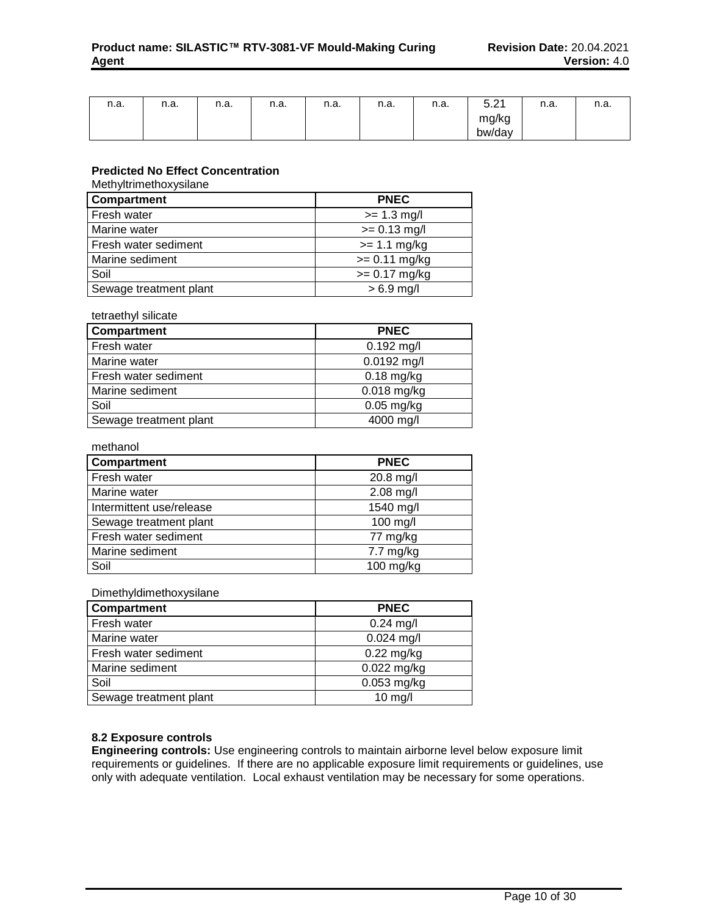| n.a. | n.a. | n.a. | n.a. | n.a. | n.a. | n.a. | $F \Omega$<br>∽<br>ا ے.ب | n.a. | n.a. |
|------|------|------|------|------|------|------|--------------------------|------|------|
|      |      |      |      |      |      |      | mg/kg                    |      |      |
|      |      |      |      |      |      |      | bw/day                   |      |      |

## **Predicted No Effect Concentration**

Methyltrimethoxysilane

| Compartment            | <b>PNEC</b>     |
|------------------------|-----------------|
| Fresh water            | $>= 1.3$ mg/l   |
| Marine water           | $>= 0.13$ mg/l  |
| Fresh water sediment   | $>= 1.1$ mg/kg  |
| Marine sediment        | $>= 0.11$ mg/kg |
| Soil                   | $>= 0.17$ mg/kg |
| Sewage treatment plant | $> 6.9$ mg/l    |

## tetraethyl silicate

| Compartment            | <b>PNEC</b>   |
|------------------------|---------------|
| Fresh water            | $0.192$ mg/l  |
| Marine water           | 0.0192 mg/l   |
| Fresh water sediment   | $0.18$ mg/kg  |
| Marine sediment        | $0.018$ mg/kg |
| Soil                   | $0.05$ mg/kg  |
| Sewage treatment plant | 4000 mg/l     |

#### methanol

| Compartment              | <b>PNEC</b>         |
|--------------------------|---------------------|
| Fresh water              | 20.8 mg/l           |
| Marine water             | $2.08$ mg/l         |
| Intermittent use/release | 1540 mg/l           |
| Sewage treatment plant   | 100 mg/l            |
| Fresh water sediment     | 77 mg/kg            |
| Marine sediment          | $7.7 \text{ mg/kg}$ |
| Soil                     | $100$ mg/kg         |

## Dimethyldimethoxysilane

| Compartment            | <b>PNEC</b>   |
|------------------------|---------------|
| Fresh water            | $0.24$ mg/l   |
| Marine water           | $0.024$ mg/l  |
| Fresh water sediment   | $0.22$ mg/kg  |
| Marine sediment        | $0.022$ mg/kg |
| Soil                   | 0.053 mg/kg   |
| Sewage treatment plant | $10$ mg/l     |

## **8.2 Exposure controls**

**Engineering controls:** Use engineering controls to maintain airborne level below exposure limit requirements or guidelines. If there are no applicable exposure limit requirements or guidelines, use only with adequate ventilation. Local exhaust ventilation may be necessary for some operations.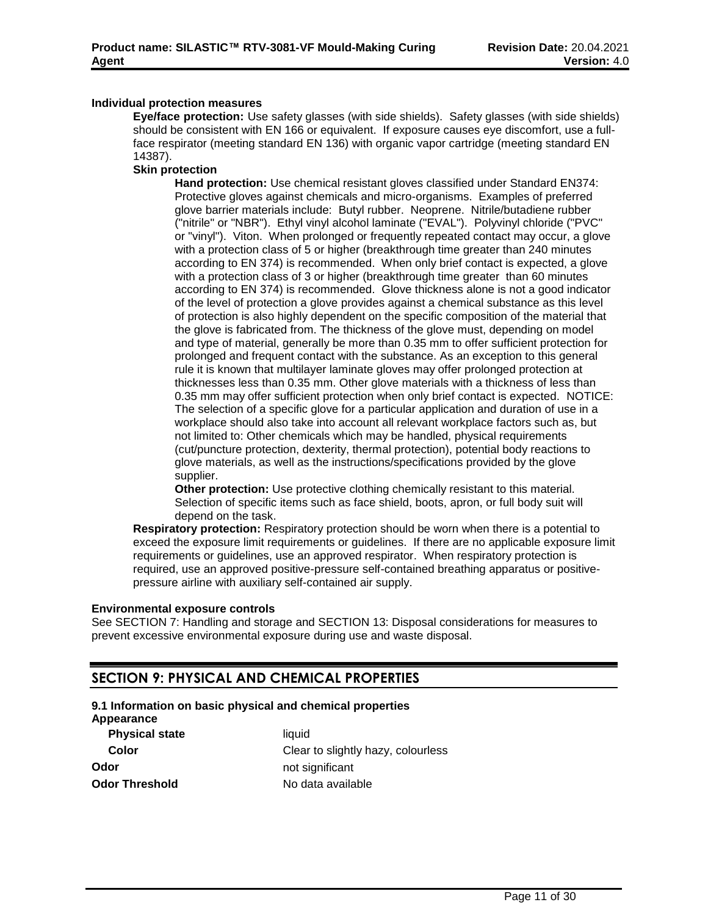## **Individual protection measures**

**Eye/face protection:** Use safety glasses (with side shields). Safety glasses (with side shields) should be consistent with EN 166 or equivalent. If exposure causes eye discomfort, use a fullface respirator (meeting standard EN 136) with organic vapor cartridge (meeting standard EN 14387).

## **Skin protection**

**Hand protection:** Use chemical resistant gloves classified under Standard EN374: Protective gloves against chemicals and micro-organisms. Examples of preferred glove barrier materials include: Butyl rubber. Neoprene. Nitrile/butadiene rubber ("nitrile" or "NBR"). Ethyl vinyl alcohol laminate ("EVAL"). Polyvinyl chloride ("PVC" or "vinyl"). Viton. When prolonged or frequently repeated contact may occur, a glove with a protection class of 5 or higher (breakthrough time greater than 240 minutes according to EN 374) is recommended. When only brief contact is expected, a glove with a protection class of 3 or higher (breakthrough time greater than 60 minutes according to EN 374) is recommended. Glove thickness alone is not a good indicator of the level of protection a glove provides against a chemical substance as this level of protection is also highly dependent on the specific composition of the material that the glove is fabricated from. The thickness of the glove must, depending on model and type of material, generally be more than 0.35 mm to offer sufficient protection for prolonged and frequent contact with the substance. As an exception to this general rule it is known that multilayer laminate gloves may offer prolonged protection at thicknesses less than 0.35 mm. Other glove materials with a thickness of less than 0.35 mm may offer sufficient protection when only brief contact is expected. NOTICE: The selection of a specific glove for a particular application and duration of use in a workplace should also take into account all relevant workplace factors such as, but not limited to: Other chemicals which may be handled, physical requirements (cut/puncture protection, dexterity, thermal protection), potential body reactions to glove materials, as well as the instructions/specifications provided by the glove supplier.

**Other protection:** Use protective clothing chemically resistant to this material. Selection of specific items such as face shield, boots, apron, or full body suit will depend on the task.

**Respiratory protection:** Respiratory protection should be worn when there is a potential to exceed the exposure limit requirements or guidelines. If there are no applicable exposure limit requirements or guidelines, use an approved respirator. When respiratory protection is required, use an approved positive-pressure self-contained breathing apparatus or positivepressure airline with auxiliary self-contained air supply.

## **Environmental exposure controls**

See SECTION 7: Handling and storage and SECTION 13: Disposal considerations for measures to prevent excessive environmental exposure during use and waste disposal.

## **SECTION 9: PHYSICAL AND CHEMICAL PROPERTIES**

## **9.1 Information on basic physical and chemical properties**

**Appearance**

**Physical state** liquid **Odor** not significant **Odor Threshold** No data available

**Color** Clear to slightly hazy, colourless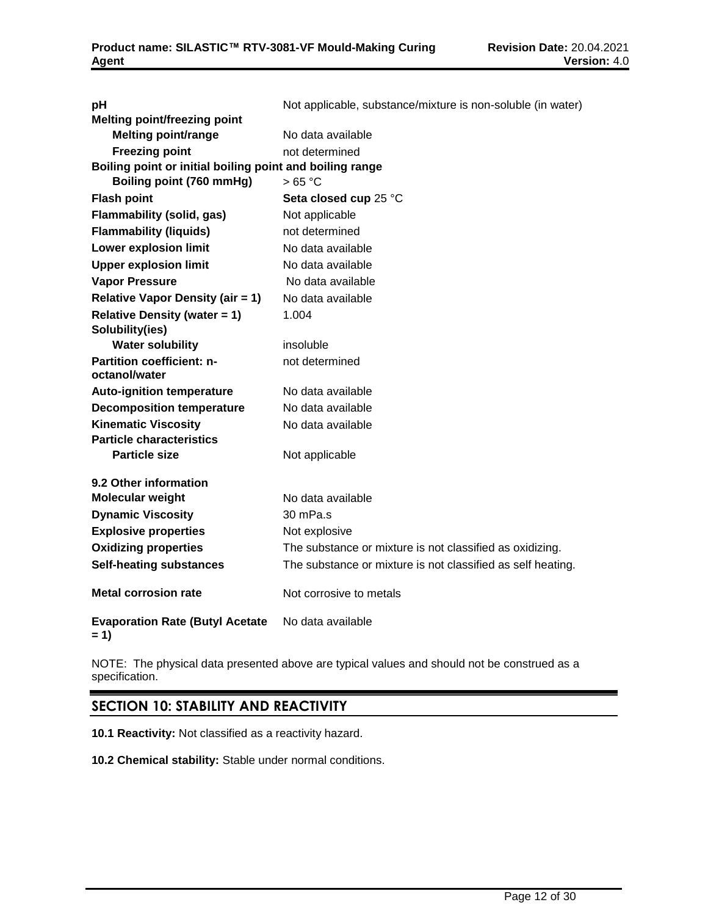| рH                                                       | Not applicable, substance/mixture is non-soluble (in water) |
|----------------------------------------------------------|-------------------------------------------------------------|
| <b>Melting point/freezing point</b>                      |                                                             |
| <b>Melting point/range</b>                               | No data available                                           |
| <b>Freezing point</b>                                    | not determined                                              |
| Boiling point or initial boiling point and boiling range |                                                             |
| Boiling point (760 mmHg)                                 | >65 °C                                                      |
| <b>Flash point</b>                                       | Seta closed cup 25 °C                                       |
| <b>Flammability (solid, gas)</b>                         | Not applicable                                              |
| <b>Flammability (liquids)</b>                            | not determined                                              |
| <b>Lower explosion limit</b>                             | No data available                                           |
| <b>Upper explosion limit</b>                             | No data available                                           |
| <b>Vapor Pressure</b>                                    | No data available                                           |
| <b>Relative Vapor Density (air = 1)</b>                  | No data available                                           |
| <b>Relative Density (water = 1)</b>                      | 1.004                                                       |
| Solubility(ies)                                          |                                                             |
| <b>Water solubility</b>                                  | insoluble                                                   |
| Partition coefficient: n-                                | not determined                                              |
| octanol/water                                            |                                                             |
| <b>Auto-ignition temperature</b>                         | No data available                                           |
| <b>Decomposition temperature</b>                         | No data available                                           |
| <b>Kinematic Viscosity</b>                               | No data available                                           |
| <b>Particle characteristics</b>                          |                                                             |
| <b>Particle size</b>                                     | Not applicable                                              |
| 9.2 Other information                                    |                                                             |
| <b>Molecular weight</b>                                  | No data available                                           |
| <b>Dynamic Viscosity</b>                                 | 30 mPa.s                                                    |
| <b>Explosive properties</b>                              | Not explosive                                               |
| <b>Oxidizing properties</b>                              | The substance or mixture is not classified as oxidizing.    |
| <b>Self-heating substances</b>                           | The substance or mixture is not classified as self heating. |
| <b>Metal corrosion rate</b>                              | Not corrosive to metals                                     |
| <b>Evaporation Rate (Butyl Acetate</b><br>$= 1)$         | No data available                                           |

NOTE: The physical data presented above are typical values and should not be construed as a specification.

## **SECTION 10: STABILITY AND REACTIVITY**

**10.1 Reactivity:** Not classified as a reactivity hazard.

**10.2 Chemical stability:** Stable under normal conditions.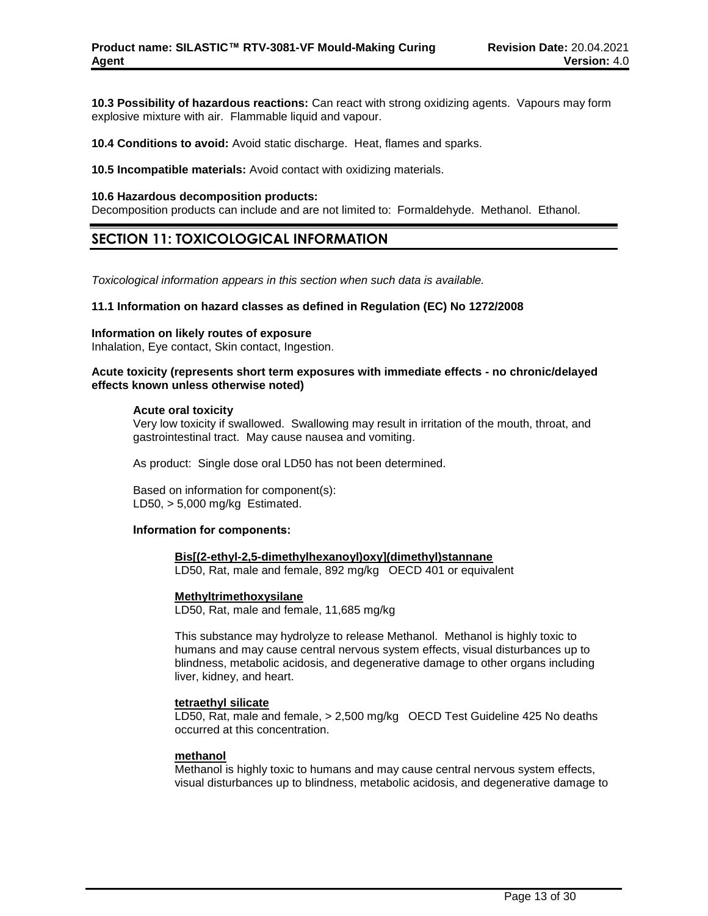**10.3 Possibility of hazardous reactions:** Can react with strong oxidizing agents. Vapours may form explosive mixture with air. Flammable liquid and vapour.

**10.4 Conditions to avoid:** Avoid static discharge. Heat, flames and sparks.

**10.5 Incompatible materials:** Avoid contact with oxidizing materials.

#### **10.6 Hazardous decomposition products:**

Decomposition products can include and are not limited to: Formaldehyde. Methanol. Ethanol.

## **SECTION 11: TOXICOLOGICAL INFORMATION**

*Toxicological information appears in this section when such data is available.*

### **11.1 Information on hazard classes as defined in Regulation (EC) No 1272/2008**

### **Information on likely routes of exposure**

Inhalation, Eye contact, Skin contact, Ingestion.

### **Acute toxicity (represents short term exposures with immediate effects - no chronic/delayed effects known unless otherwise noted)**

#### **Acute oral toxicity**

Very low toxicity if swallowed. Swallowing may result in irritation of the mouth, throat, and gastrointestinal tract. May cause nausea and vomiting.

As product: Single dose oral LD50 has not been determined.

Based on information for component(s): LD50,  $> 5,000$  mg/kg Estimated.

## **Information for components:**

#### **Bis[(2-ethyl-2,5-dimethylhexanoyl)oxy](dimethyl)stannane**

LD50, Rat, male and female, 892 mg/kg OECD 401 or equivalent

#### **Methyltrimethoxysilane**

LD50, Rat, male and female, 11,685 mg/kg

This substance may hydrolyze to release Methanol. Methanol is highly toxic to humans and may cause central nervous system effects, visual disturbances up to blindness, metabolic acidosis, and degenerative damage to other organs including liver, kidney, and heart.

## **tetraethyl silicate**

LD50, Rat, male and female, > 2,500 mg/kg OECD Test Guideline 425 No deaths occurred at this concentration.

#### **methanol**

Methanol is highly toxic to humans and may cause central nervous system effects, visual disturbances up to blindness, metabolic acidosis, and degenerative damage to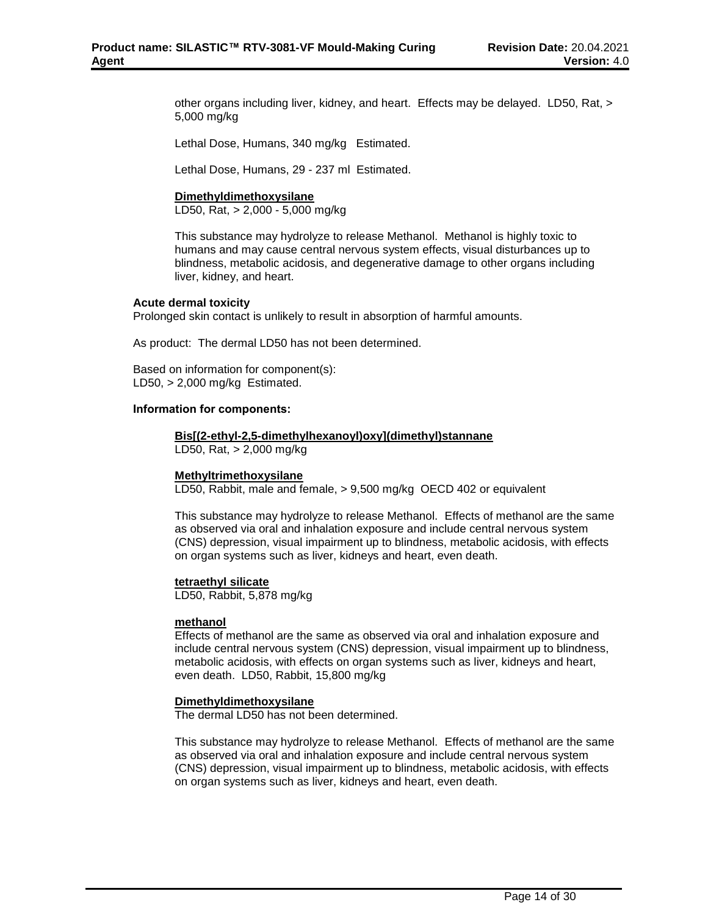other organs including liver, kidney, and heart. Effects may be delayed. LD50, Rat, > 5,000 mg/kg

Lethal Dose, Humans, 340 mg/kg Estimated.

Lethal Dose, Humans, 29 - 237 ml Estimated.

## **Dimethyldimethoxysilane**

LD50, Rat, > 2,000 - 5,000 mg/kg

This substance may hydrolyze to release Methanol. Methanol is highly toxic to humans and may cause central nervous system effects, visual disturbances up to blindness, metabolic acidosis, and degenerative damage to other organs including liver, kidney, and heart.

## **Acute dermal toxicity**

Prolonged skin contact is unlikely to result in absorption of harmful amounts.

As product: The dermal LD50 has not been determined.

Based on information for component(s): LD50, > 2,000 mg/kg Estimated.

#### **Information for components:**

#### **Bis[(2-ethyl-2,5-dimethylhexanoyl)oxy](dimethyl)stannane**

LD50, Rat, > 2,000 mg/kg

## **Methyltrimethoxysilane**

LD50, Rabbit, male and female, > 9,500 mg/kg OECD 402 or equivalent

This substance may hydrolyze to release Methanol. Effects of methanol are the same as observed via oral and inhalation exposure and include central nervous system (CNS) depression, visual impairment up to blindness, metabolic acidosis, with effects on organ systems such as liver, kidneys and heart, even death.

#### **tetraethyl silicate**

LD50, Rabbit, 5,878 mg/kg

#### **methanol**

Effects of methanol are the same as observed via oral and inhalation exposure and include central nervous system (CNS) depression, visual impairment up to blindness, metabolic acidosis, with effects on organ systems such as liver, kidneys and heart, even death. LD50, Rabbit, 15,800 mg/kg

#### **Dimethyldimethoxysilane**

The dermal LD50 has not been determined.

This substance may hydrolyze to release Methanol. Effects of methanol are the same as observed via oral and inhalation exposure and include central nervous system (CNS) depression, visual impairment up to blindness, metabolic acidosis, with effects on organ systems such as liver, kidneys and heart, even death.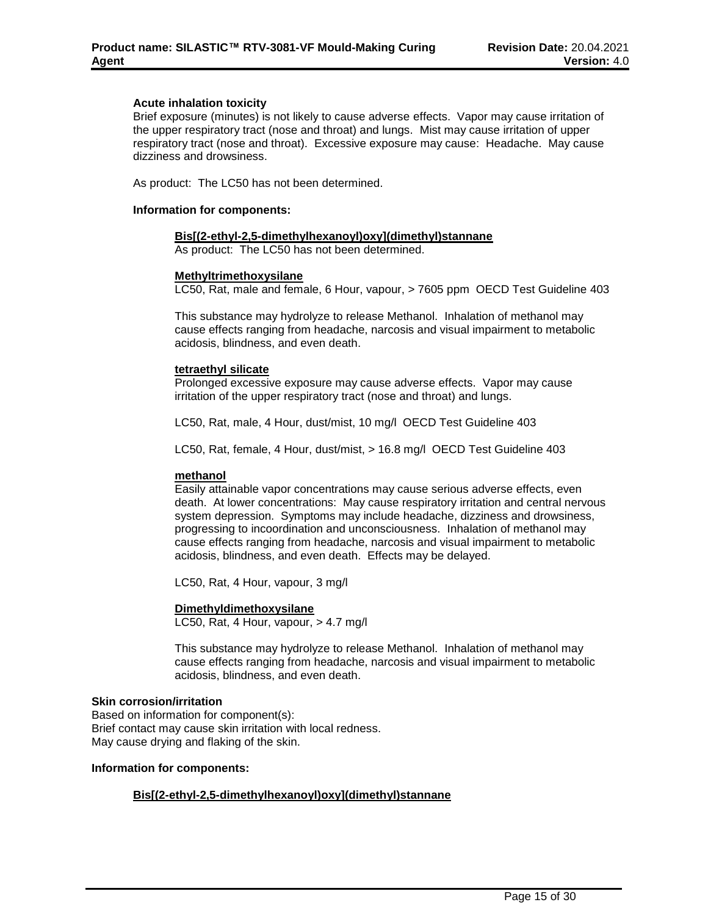## **Acute inhalation toxicity**

Brief exposure (minutes) is not likely to cause adverse effects. Vapor may cause irritation of the upper respiratory tract (nose and throat) and lungs. Mist may cause irritation of upper respiratory tract (nose and throat). Excessive exposure may cause: Headache. May cause dizziness and drowsiness.

As product: The LC50 has not been determined.

#### **Information for components:**

#### **Bis[(2-ethyl-2,5-dimethylhexanoyl)oxy](dimethyl)stannane**

As product: The LC50 has not been determined.

#### **Methyltrimethoxysilane**

LC50, Rat, male and female, 6 Hour, vapour, > 7605 ppm OECD Test Guideline 403

This substance may hydrolyze to release Methanol. Inhalation of methanol may cause effects ranging from headache, narcosis and visual impairment to metabolic acidosis, blindness, and even death.

#### **tetraethyl silicate**

Prolonged excessive exposure may cause adverse effects. Vapor may cause irritation of the upper respiratory tract (nose and throat) and lungs.

LC50, Rat, male, 4 Hour, dust/mist, 10 mg/l OECD Test Guideline 403

LC50, Rat, female, 4 Hour, dust/mist, > 16.8 mg/l OECD Test Guideline 403

## **methanol**

Easily attainable vapor concentrations may cause serious adverse effects, even death. At lower concentrations: May cause respiratory irritation and central nervous system depression. Symptoms may include headache, dizziness and drowsiness, progressing to incoordination and unconsciousness. Inhalation of methanol may cause effects ranging from headache, narcosis and visual impairment to metabolic acidosis, blindness, and even death. Effects may be delayed.

LC50, Rat, 4 Hour, vapour, 3 mg/l

## **Dimethyldimethoxysilane**

LC50, Rat, 4 Hour, vapour, > 4.7 mg/l

This substance may hydrolyze to release Methanol. Inhalation of methanol may cause effects ranging from headache, narcosis and visual impairment to metabolic acidosis, blindness, and even death.

#### **Skin corrosion/irritation**

Based on information for component(s): Brief contact may cause skin irritation with local redness. May cause drying and flaking of the skin.

#### **Information for components:**

## **Bis[(2-ethyl-2,5-dimethylhexanoyl)oxy](dimethyl)stannane**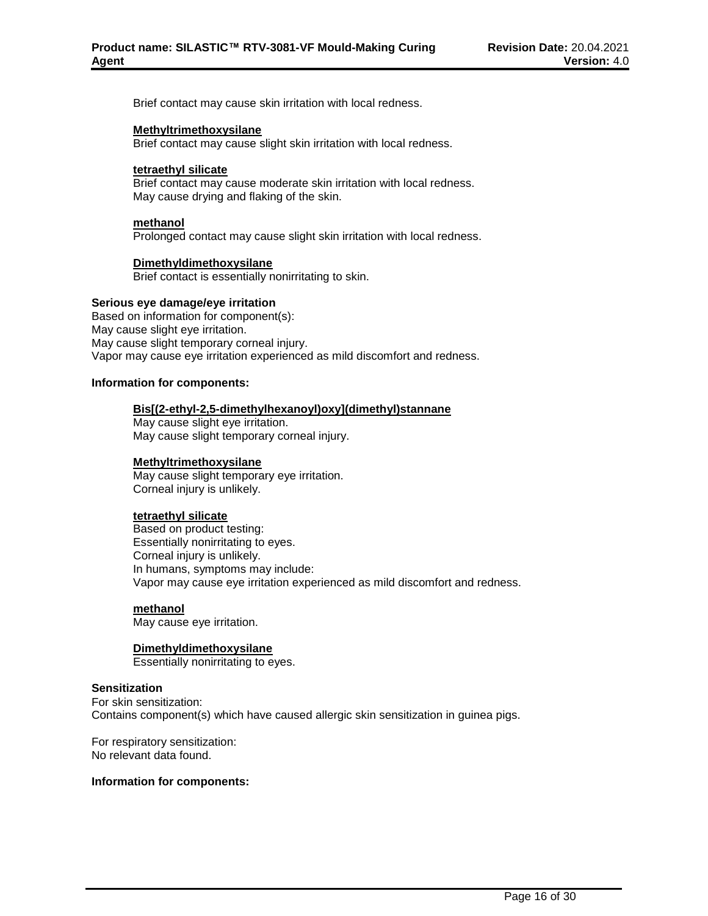Brief contact may cause skin irritation with local redness.

### **Methyltrimethoxysilane**

Brief contact may cause slight skin irritation with local redness.

#### **tetraethyl silicate**

Brief contact may cause moderate skin irritation with local redness. May cause drying and flaking of the skin.

#### **methanol**

Prolonged contact may cause slight skin irritation with local redness.

## **Dimethyldimethoxysilane**

Brief contact is essentially nonirritating to skin.

#### **Serious eye damage/eye irritation**

Based on information for component(s): May cause slight eye irritation. May cause slight temporary corneal injury. Vapor may cause eye irritation experienced as mild discomfort and redness.

#### **Information for components:**

#### **Bis[(2-ethyl-2,5-dimethylhexanoyl)oxy](dimethyl)stannane**

May cause slight eye irritation. May cause slight temporary corneal injury.

## **Methyltrimethoxysilane**

May cause slight temporary eye irritation. Corneal injury is unlikely.

#### **tetraethyl silicate**

Based on product testing: Essentially nonirritating to eyes. Corneal injury is unlikely. In humans, symptoms may include: Vapor may cause eye irritation experienced as mild discomfort and redness.

## **methanol**

May cause eye irritation.

## **Dimethyldimethoxysilane**

Essentially nonirritating to eyes.

## **Sensitization**

For skin sensitization: Contains component(s) which have caused allergic skin sensitization in guinea pigs.

For respiratory sensitization: No relevant data found.

#### **Information for components:**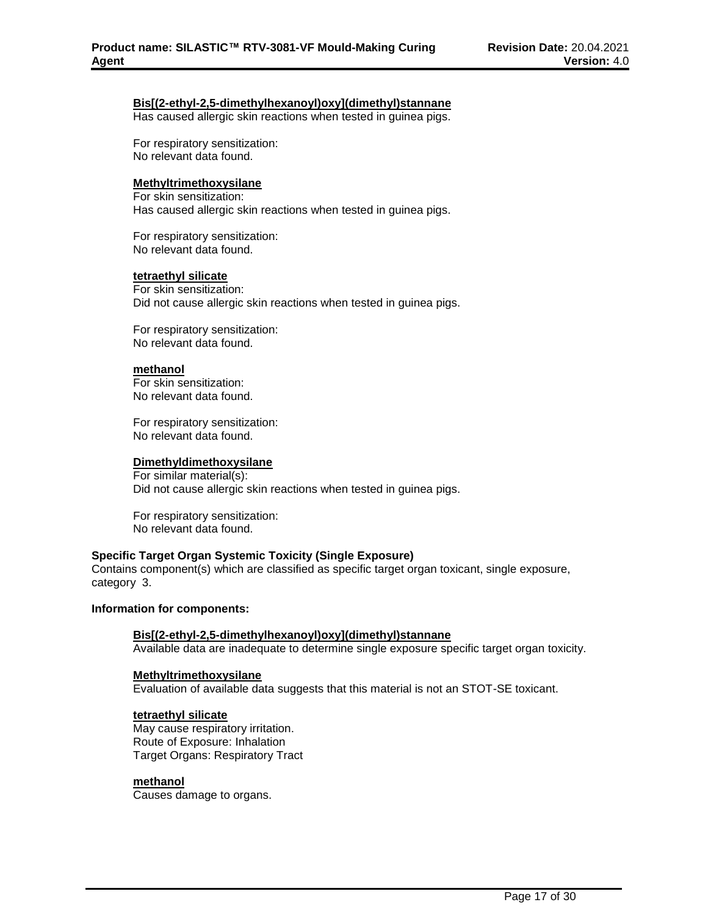## **Bis[(2-ethyl-2,5-dimethylhexanoyl)oxy](dimethyl)stannane**

Has caused allergic skin reactions when tested in guinea pigs.

For respiratory sensitization: No relevant data found.

### **Methyltrimethoxysilane**

For skin sensitization: Has caused allergic skin reactions when tested in guinea pigs.

For respiratory sensitization: No relevant data found.

#### **tetraethyl silicate**

For skin sensitization: Did not cause allergic skin reactions when tested in guinea pigs.

For respiratory sensitization: No relevant data found.

#### **methanol**

For skin sensitization: No relevant data found.

For respiratory sensitization: No relevant data found.

## **Dimethyldimethoxysilane**

For similar material(s): Did not cause allergic skin reactions when tested in guinea pigs.

For respiratory sensitization: No relevant data found.

#### **Specific Target Organ Systemic Toxicity (Single Exposure)**

Contains component(s) which are classified as specific target organ toxicant, single exposure, category 3.

#### **Information for components:**

## **Bis[(2-ethyl-2,5-dimethylhexanoyl)oxy](dimethyl)stannane**

Available data are inadequate to determine single exposure specific target organ toxicity.

#### **Methyltrimethoxysilane**

Evaluation of available data suggests that this material is not an STOT-SE toxicant.

#### **tetraethyl silicate**

May cause respiratory irritation. Route of Exposure: Inhalation Target Organs: Respiratory Tract

## **methanol**

Causes damage to organs.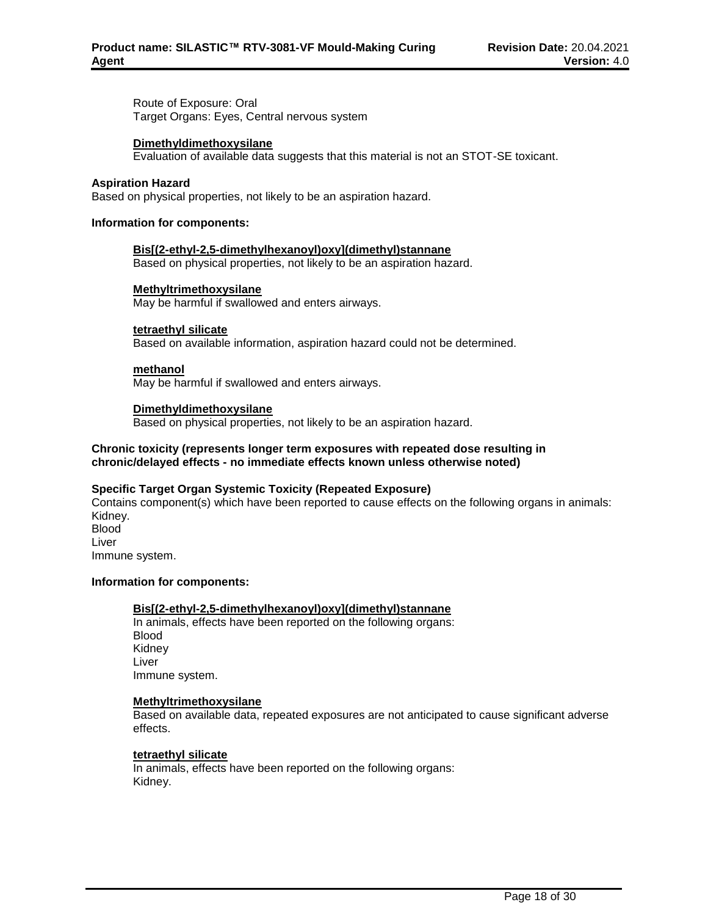Route of Exposure: Oral Target Organs: Eyes, Central nervous system

## **Dimethyldimethoxysilane**

Evaluation of available data suggests that this material is not an STOT-SE toxicant.

### **Aspiration Hazard**

Based on physical properties, not likely to be an aspiration hazard.

### **Information for components:**

## **Bis[(2-ethyl-2,5-dimethylhexanoyl)oxy](dimethyl)stannane**

Based on physical properties, not likely to be an aspiration hazard.

#### **Methyltrimethoxysilane**

May be harmful if swallowed and enters airways.

#### **tetraethyl silicate**

Based on available information, aspiration hazard could not be determined.

#### **methanol**

May be harmful if swallowed and enters airways.

#### **Dimethyldimethoxysilane**

Based on physical properties, not likely to be an aspiration hazard.

## **Chronic toxicity (represents longer term exposures with repeated dose resulting in chronic/delayed effects - no immediate effects known unless otherwise noted)**

## **Specific Target Organ Systemic Toxicity (Repeated Exposure)**

Contains component(s) which have been reported to cause effects on the following organs in animals: Kidney. **Blood** Liver Immune system.

## **Information for components:**

## **Bis[(2-ethyl-2,5-dimethylhexanoyl)oxy](dimethyl)stannane**

In animals, effects have been reported on the following organs: Blood Kidney Liver Immune system.

### **Methyltrimethoxysilane**

Based on available data, repeated exposures are not anticipated to cause significant adverse effects.

## **tetraethyl silicate**

In animals, effects have been reported on the following organs: Kidney.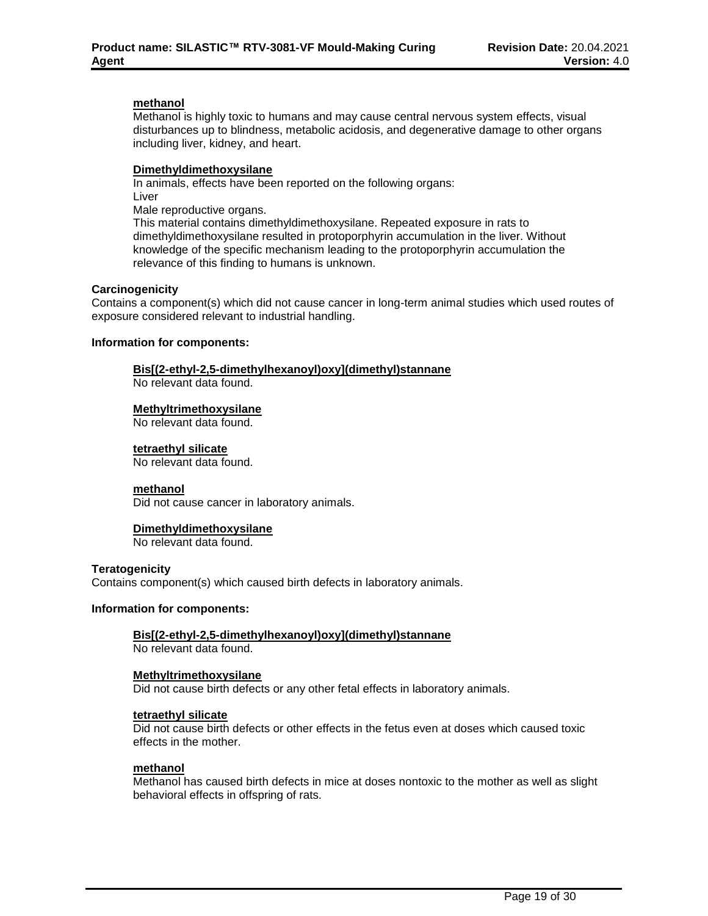### **methanol**

Methanol is highly toxic to humans and may cause central nervous system effects, visual disturbances up to blindness, metabolic acidosis, and degenerative damage to other organs including liver, kidney, and heart.

### **Dimethyldimethoxysilane**

In animals, effects have been reported on the following organs: Liver Male reproductive organs. This material contains dimethyldimethoxysilane. Repeated exposure in rats to dimethyldimethoxysilane resulted in protoporphyrin accumulation in the liver. Without knowledge of the specific mechanism leading to the protoporphyrin accumulation the relevance of this finding to humans is unknown.

#### **Carcinogenicity**

Contains a component(s) which did not cause cancer in long-term animal studies which used routes of exposure considered relevant to industrial handling.

#### **Information for components:**

## **Bis[(2-ethyl-2,5-dimethylhexanoyl)oxy](dimethyl)stannane**

No relevant data found.

#### **Methyltrimethoxysilane**

No relevant data found.

#### **tetraethyl silicate**

No relevant data found.

#### **methanol**

Did not cause cancer in laboratory animals.

## **Dimethyldimethoxysilane**

No relevant data found.

#### **Teratogenicity**

Contains component(s) which caused birth defects in laboratory animals.

#### **Information for components:**

## **Bis[(2-ethyl-2,5-dimethylhexanoyl)oxy](dimethyl)stannane**

No relevant data found.

## **Methyltrimethoxysilane**

Did not cause birth defects or any other fetal effects in laboratory animals.

#### **tetraethyl silicate**

Did not cause birth defects or other effects in the fetus even at doses which caused toxic effects in the mother.

#### **methanol**

Methanol has caused birth defects in mice at doses nontoxic to the mother as well as slight behavioral effects in offspring of rats.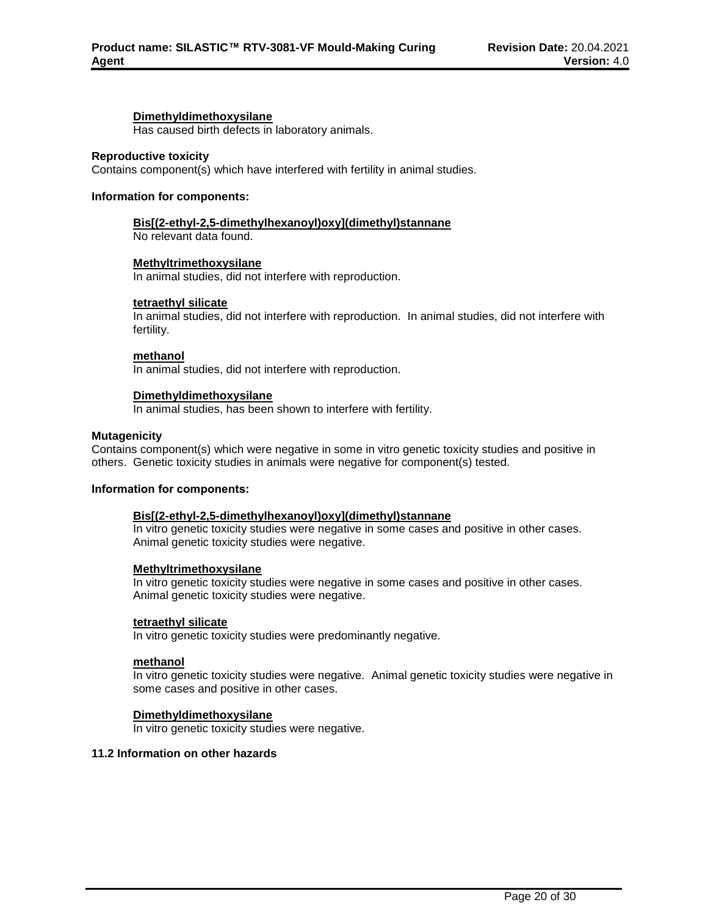#### **Dimethyldimethoxysilane**

Has caused birth defects in laboratory animals.

#### **Reproductive toxicity**

Contains component(s) which have interfered with fertility in animal studies.

#### **Information for components:**

### **Bis[(2-ethyl-2,5-dimethylhexanoyl)oxy](dimethyl)stannane**

No relevant data found.

#### **Methyltrimethoxysilane**

In animal studies, did not interfere with reproduction.

#### **tetraethyl silicate**

In animal studies, did not interfere with reproduction. In animal studies, did not interfere with fertility.

#### **methanol**

In animal studies, did not interfere with reproduction.

## **Dimethyldimethoxysilane**

In animal studies, has been shown to interfere with fertility.

#### **Mutagenicity**

Contains component(s) which were negative in some in vitro genetic toxicity studies and positive in others. Genetic toxicity studies in animals were negative for component(s) tested.

#### **Information for components:**

## **Bis[(2-ethyl-2,5-dimethylhexanoyl)oxy](dimethyl)stannane**

In vitro genetic toxicity studies were negative in some cases and positive in other cases. Animal genetic toxicity studies were negative.

#### **Methyltrimethoxysilane**

In vitro genetic toxicity studies were negative in some cases and positive in other cases. Animal genetic toxicity studies were negative.

#### **tetraethyl silicate**

In vitro genetic toxicity studies were predominantly negative.

#### **methanol**

In vitro genetic toxicity studies were negative. Animal genetic toxicity studies were negative in some cases and positive in other cases.

## **Dimethyldimethoxysilane**

In vitro genetic toxicity studies were negative.

#### **11.2 Information on other hazards**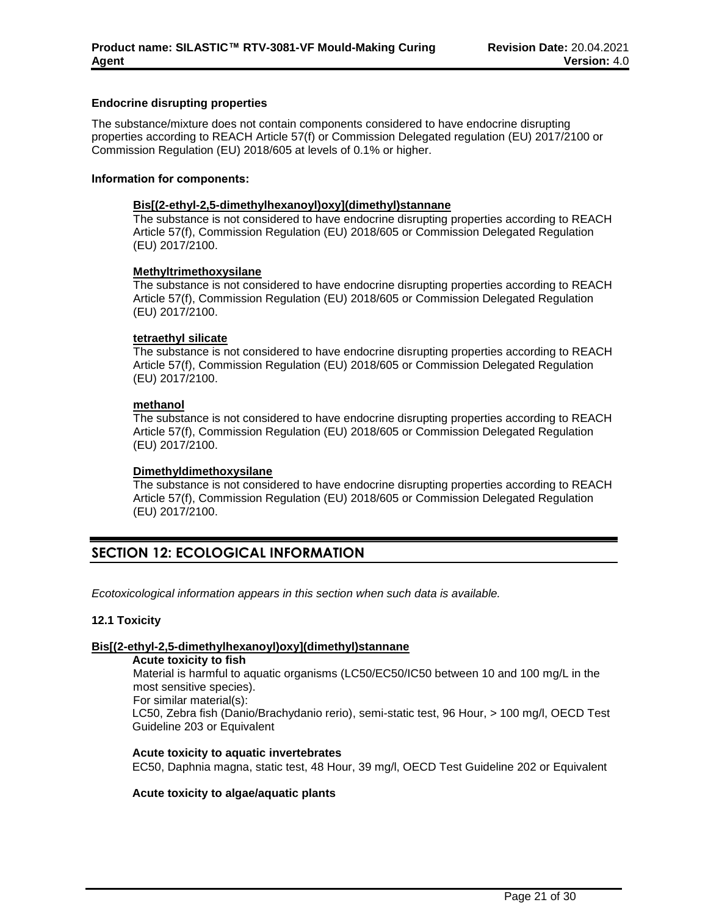## **Endocrine disrupting properties**

The substance/mixture does not contain components considered to have endocrine disrupting properties according to REACH Article 57(f) or Commission Delegated regulation (EU) 2017/2100 or Commission Regulation (EU) 2018/605 at levels of 0.1% or higher.

## **Information for components:**

## **Bis[(2-ethyl-2,5-dimethylhexanoyl)oxy](dimethyl)stannane**

The substance is not considered to have endocrine disrupting properties according to REACH Article 57(f), Commission Regulation (EU) 2018/605 or Commission Delegated Regulation (EU) 2017/2100.

## **Methyltrimethoxysilane**

The substance is not considered to have endocrine disrupting properties according to REACH Article 57(f), Commission Regulation (EU) 2018/605 or Commission Delegated Regulation (EU) 2017/2100.

#### **tetraethyl silicate**

The substance is not considered to have endocrine disrupting properties according to REACH Article 57(f), Commission Regulation (EU) 2018/605 or Commission Delegated Regulation (EU) 2017/2100.

#### **methanol**

The substance is not considered to have endocrine disrupting properties according to REACH Article 57(f), Commission Regulation (EU) 2018/605 or Commission Delegated Regulation (EU) 2017/2100.

## **Dimethyldimethoxysilane**

The substance is not considered to have endocrine disrupting properties according to REACH Article 57(f), Commission Regulation (EU) 2018/605 or Commission Delegated Regulation (EU) 2017/2100.

## **SECTION 12: ECOLOGICAL INFORMATION**

*Ecotoxicological information appears in this section when such data is available.*

## **12.1 Toxicity**

## **Bis[(2-ethyl-2,5-dimethylhexanoyl)oxy](dimethyl)stannane**

**Acute toxicity to fish**

Material is harmful to aquatic organisms (LC50/EC50/IC50 between 10 and 100 mg/L in the most sensitive species).

For similar material(s):

LC50, Zebra fish (Danio/Brachydanio rerio), semi-static test, 96 Hour, > 100 mg/l, OECD Test Guideline 203 or Equivalent

**Acute toxicity to aquatic invertebrates** EC50, Daphnia magna, static test, 48 Hour, 39 mg/l, OECD Test Guideline 202 or Equivalent

## **Acute toxicity to algae/aquatic plants**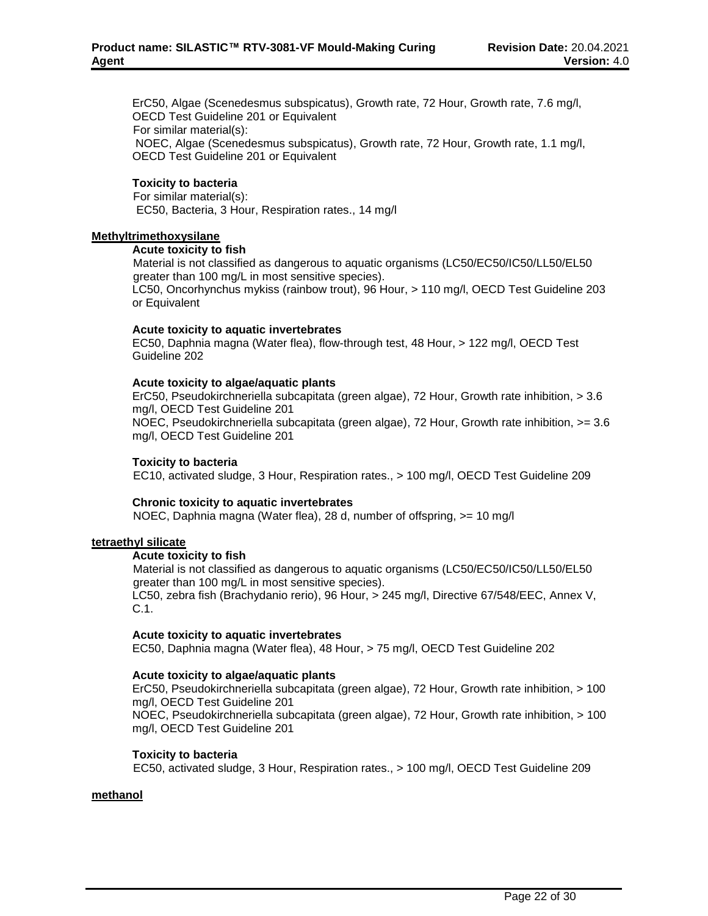ErC50, Algae (Scenedesmus subspicatus), Growth rate, 72 Hour, Growth rate, 7.6 mg/l, OECD Test Guideline 201 or Equivalent For similar material(s): NOEC, Algae (Scenedesmus subspicatus), Growth rate, 72 Hour, Growth rate, 1.1 mg/l, OECD Test Guideline 201 or Equivalent

## **Toxicity to bacteria**

For similar material(s): EC50, Bacteria, 3 Hour, Respiration rates., 14 mg/l

#### **Methyltrimethoxysilane**

#### **Acute toxicity to fish**

Material is not classified as dangerous to aquatic organisms (LC50/EC50/IC50/LL50/EL50 greater than 100 mg/L in most sensitive species).

LC50, Oncorhynchus mykiss (rainbow trout), 96 Hour, > 110 mg/l, OECD Test Guideline 203 or Equivalent

#### **Acute toxicity to aquatic invertebrates**

EC50, Daphnia magna (Water flea), flow-through test, 48 Hour, > 122 mg/l, OECD Test Guideline 202

#### **Acute toxicity to algae/aquatic plants**

ErC50, Pseudokirchneriella subcapitata (green algae), 72 Hour, Growth rate inhibition, > 3.6 mg/l, OECD Test Guideline 201 NOEC, Pseudokirchneriella subcapitata (green algae), 72 Hour, Growth rate inhibition, >= 3.6 mg/l, OECD Test Guideline 201

### **Toxicity to bacteria**

EC10, activated sludge, 3 Hour, Respiration rates., > 100 mg/l, OECD Test Guideline 209

## **Chronic toxicity to aquatic invertebrates**

NOEC, Daphnia magna (Water flea), 28 d, number of offspring, >= 10 mg/l

## **tetraethyl silicate**

## **Acute toxicity to fish**

Material is not classified as dangerous to aquatic organisms (LC50/EC50/IC50/LL50/EL50 greater than 100 mg/L in most sensitive species).

LC50, zebra fish (Brachydanio rerio), 96 Hour, > 245 mg/l, Directive 67/548/EEC, Annex V, C.1.

## **Acute toxicity to aquatic invertebrates**

EC50, Daphnia magna (Water flea), 48 Hour, > 75 mg/l, OECD Test Guideline 202

#### **Acute toxicity to algae/aquatic plants**

ErC50, Pseudokirchneriella subcapitata (green algae), 72 Hour, Growth rate inhibition, > 100 mg/l, OECD Test Guideline 201

NOEC, Pseudokirchneriella subcapitata (green algae), 72 Hour, Growth rate inhibition, > 100 mg/l, OECD Test Guideline 201

#### **Toxicity to bacteria**

EC50, activated sludge, 3 Hour, Respiration rates., > 100 mg/l, OECD Test Guideline 209

#### **methanol**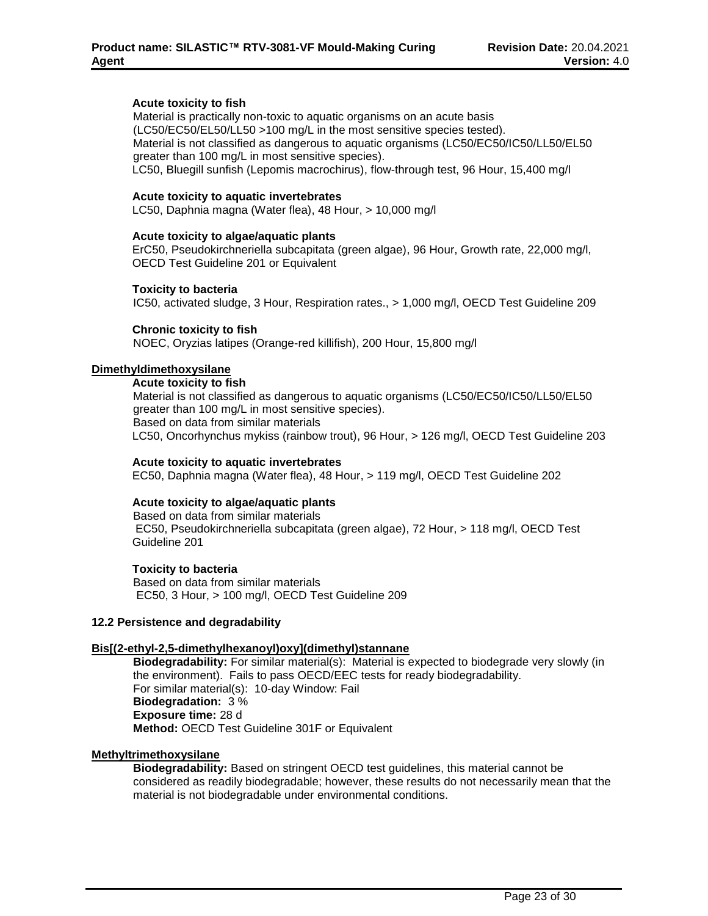### **Acute toxicity to fish**

Material is practically non-toxic to aquatic organisms on an acute basis (LC50/EC50/EL50/LL50 >100 mg/L in the most sensitive species tested). Material is not classified as dangerous to aquatic organisms (LC50/EC50/IC50/LL50/EL50 greater than 100 mg/L in most sensitive species). LC50, Bluegill sunfish (Lepomis macrochirus), flow-through test, 96 Hour, 15,400 mg/l

#### **Acute toxicity to aquatic invertebrates**

LC50, Daphnia magna (Water flea), 48 Hour, > 10,000 mg/l

#### **Acute toxicity to algae/aquatic plants**

ErC50, Pseudokirchneriella subcapitata (green algae), 96 Hour, Growth rate, 22,000 mg/l, OECD Test Guideline 201 or Equivalent

#### **Toxicity to bacteria**

IC50, activated sludge, 3 Hour, Respiration rates., > 1,000 mg/l, OECD Test Guideline 209

#### **Chronic toxicity to fish**

NOEC, Oryzias latipes (Orange-red killifish), 200 Hour, 15,800 mg/l

#### **Dimethyldimethoxysilane**

#### **Acute toxicity to fish**

Material is not classified as dangerous to aquatic organisms (LC50/EC50/IC50/LL50/EL50 greater than 100 mg/L in most sensitive species). Based on data from similar materials LC50, Oncorhynchus mykiss (rainbow trout), 96 Hour, > 126 mg/l, OECD Test Guideline 203

#### **Acute toxicity to aquatic invertebrates**

EC50, Daphnia magna (Water flea), 48 Hour, > 119 mg/l, OECD Test Guideline 202

## **Acute toxicity to algae/aquatic plants**

Based on data from similar materials EC50, Pseudokirchneriella subcapitata (green algae), 72 Hour, > 118 mg/l, OECD Test Guideline 201

## **Toxicity to bacteria**

Based on data from similar materials EC50, 3 Hour, > 100 mg/l, OECD Test Guideline 209

#### **12.2 Persistence and degradability**

## **Bis[(2-ethyl-2,5-dimethylhexanoyl)oxy](dimethyl)stannane**

**Biodegradability:** For similar material(s): Material is expected to biodegrade very slowly (in the environment). Fails to pass OECD/EEC tests for ready biodegradability. For similar material(s): 10-day Window: Fail **Biodegradation:** 3 % **Exposure time:** 28 d **Method:** OECD Test Guideline 301F or Equivalent

#### **Methyltrimethoxysilane**

**Biodegradability:** Based on stringent OECD test guidelines, this material cannot be considered as readily biodegradable; however, these results do not necessarily mean that the material is not biodegradable under environmental conditions.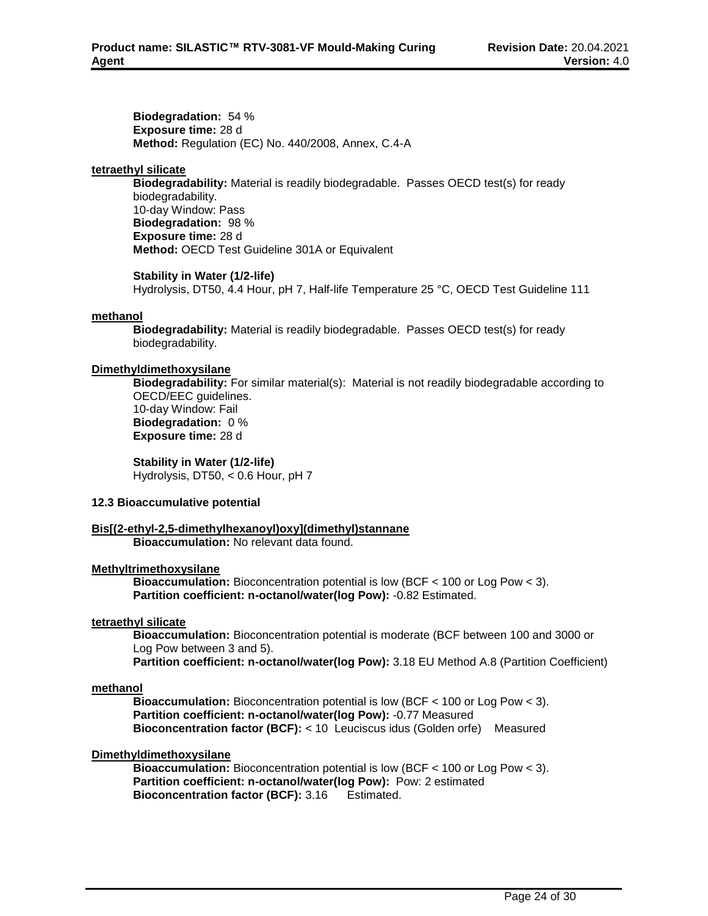**Biodegradation:** 54 % **Exposure time:** 28 d **Method:** Regulation (EC) No. 440/2008, Annex, C.4-A

## **tetraethyl silicate**

**Biodegradability:** Material is readily biodegradable. Passes OECD test(s) for ready biodegradability. 10-day Window: Pass **Biodegradation:** 98 % **Exposure time:** 28 d **Method:** OECD Test Guideline 301A or Equivalent

## **Stability in Water (1/2-life)**

Hydrolysis, DT50, 4.4 Hour, pH 7, Half-life Temperature 25 °C, OECD Test Guideline 111

## **methanol**

**Biodegradability:** Material is readily biodegradable. Passes OECD test(s) for ready biodegradability.

## **Dimethyldimethoxysilane**

**Biodegradability:** For similar material(s): Material is not readily biodegradable according to OECD/EEC guidelines. 10-day Window: Fail **Biodegradation:** 0 % **Exposure time:** 28 d

**Stability in Water (1/2-life)** Hydrolysis, DT50, < 0.6 Hour, pH 7

## **12.3 Bioaccumulative potential**

## **Bis[(2-ethyl-2,5-dimethylhexanoyl)oxy](dimethyl)stannane**

**Bioaccumulation:** No relevant data found.

## **Methyltrimethoxysilane**

**Bioaccumulation:** Bioconcentration potential is low (BCF < 100 or Log Pow < 3). **Partition coefficient: n-octanol/water(log Pow):** -0.82 Estimated.

## **tetraethyl silicate**

**Bioaccumulation:** Bioconcentration potential is moderate (BCF between 100 and 3000 or Log Pow between 3 and 5).

**Partition coefficient: n-octanol/water(log Pow):** 3.18 EU Method A.8 (Partition Coefficient)

## **methanol**

**Bioaccumulation:** Bioconcentration potential is low (BCF < 100 or Log Pow < 3). **Partition coefficient: n-octanol/water(log Pow):** -0.77 Measured **Bioconcentration factor (BCF):** < 10 Leuciscus idus (Golden orfe) Measured

## **Dimethyldimethoxysilane**

**Bioaccumulation:** Bioconcentration potential is low (BCF < 100 or Log Pow < 3). **Partition coefficient: n-octanol/water(log Pow):** Pow: 2 estimated **Bioconcentration factor (BCF):** 3.16 Estimated.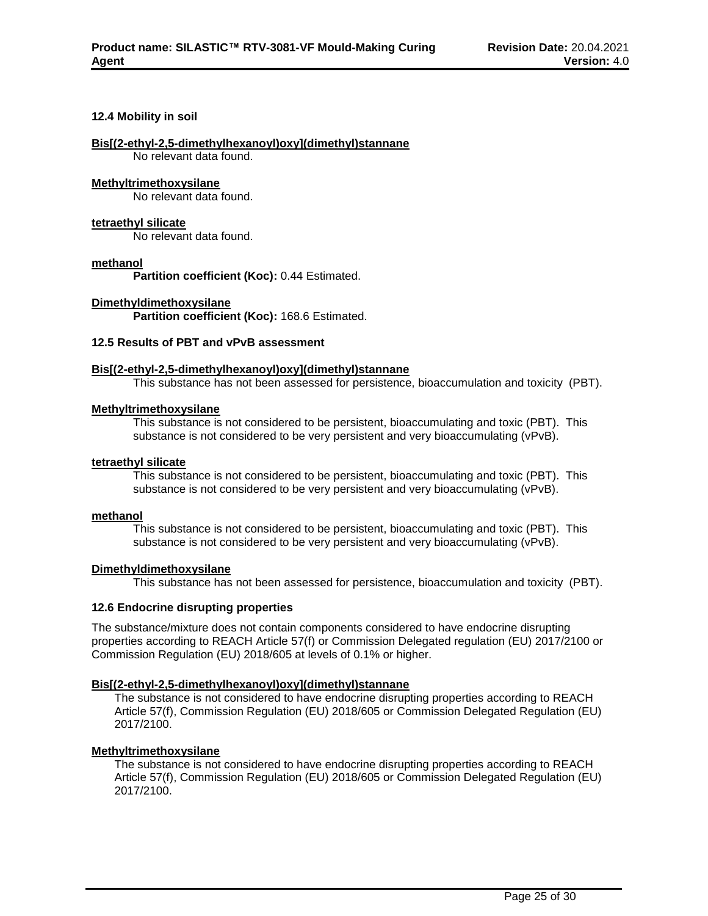#### **12.4 Mobility in soil**

#### **Bis[(2-ethyl-2,5-dimethylhexanoyl)oxy](dimethyl)stannane**

No relevant data found.

#### **Methyltrimethoxysilane**

No relevant data found.

#### **tetraethyl silicate**

No relevant data found.

### **methanol**

**Partition coefficient (Koc):** 0.44 Estimated.

#### **Dimethyldimethoxysilane**

**Partition coefficient (Koc):** 168.6 Estimated.

## **12.5 Results of PBT and vPvB assessment**

#### **Bis[(2-ethyl-2,5-dimethylhexanoyl)oxy](dimethyl)stannane**

This substance has not been assessed for persistence, bioaccumulation and toxicity (PBT).

## **Methyltrimethoxysilane**

This substance is not considered to be persistent, bioaccumulating and toxic (PBT). This substance is not considered to be very persistent and very bioaccumulating (vPvB).

#### **tetraethyl silicate**

This substance is not considered to be persistent, bioaccumulating and toxic (PBT). This substance is not considered to be very persistent and very bioaccumulating (vPvB).

#### **methanol**

This substance is not considered to be persistent, bioaccumulating and toxic (PBT). This substance is not considered to be very persistent and very bioaccumulating (vPvB).

## **Dimethyldimethoxysilane**

This substance has not been assessed for persistence, bioaccumulation and toxicity (PBT).

## **12.6 Endocrine disrupting properties**

The substance/mixture does not contain components considered to have endocrine disrupting properties according to REACH Article 57(f) or Commission Delegated regulation (EU) 2017/2100 or Commission Regulation (EU) 2018/605 at levels of 0.1% or higher.

## **Bis[(2-ethyl-2,5-dimethylhexanoyl)oxy](dimethyl)stannane**

The substance is not considered to have endocrine disrupting properties according to REACH Article 57(f), Commission Regulation (EU) 2018/605 or Commission Delegated Regulation (EU) 2017/2100.

## **Methyltrimethoxysilane**

The substance is not considered to have endocrine disrupting properties according to REACH Article 57(f), Commission Regulation (EU) 2018/605 or Commission Delegated Regulation (EU) 2017/2100.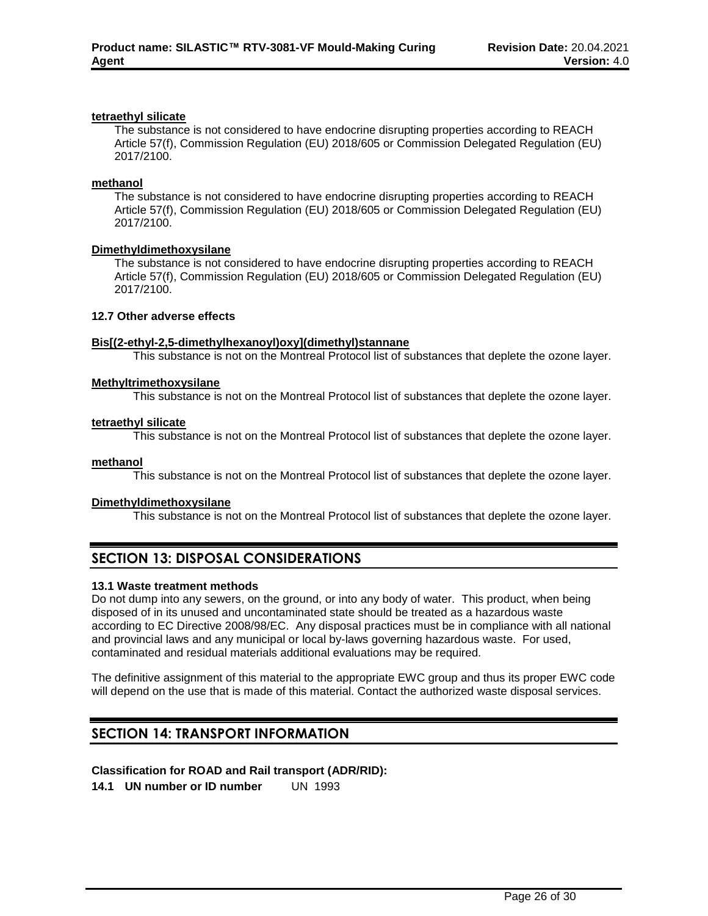## **tetraethyl silicate**

The substance is not considered to have endocrine disrupting properties according to REACH Article 57(f), Commission Regulation (EU) 2018/605 or Commission Delegated Regulation (EU) 2017/2100.

#### **methanol**

The substance is not considered to have endocrine disrupting properties according to REACH Article 57(f), Commission Regulation (EU) 2018/605 or Commission Delegated Regulation (EU) 2017/2100.

#### **Dimethyldimethoxysilane**

The substance is not considered to have endocrine disrupting properties according to REACH Article 57(f), Commission Regulation (EU) 2018/605 or Commission Delegated Regulation (EU) 2017/2100.

### **12.7 Other adverse effects**

### **Bis[(2-ethyl-2,5-dimethylhexanoyl)oxy](dimethyl)stannane**

This substance is not on the Montreal Protocol list of substances that deplete the ozone layer.

## **Methyltrimethoxysilane**

This substance is not on the Montreal Protocol list of substances that deplete the ozone layer.

#### **tetraethyl silicate**

This substance is not on the Montreal Protocol list of substances that deplete the ozone layer.

#### **methanol**

This substance is not on the Montreal Protocol list of substances that deplete the ozone layer.

## **Dimethyldimethoxysilane**

This substance is not on the Montreal Protocol list of substances that deplete the ozone layer.

## **SECTION 13: DISPOSAL CONSIDERATIONS**

## **13.1 Waste treatment methods**

Do not dump into any sewers, on the ground, or into any body of water. This product, when being disposed of in its unused and uncontaminated state should be treated as a hazardous waste according to EC Directive 2008/98/EC. Any disposal practices must be in compliance with all national and provincial laws and any municipal or local by-laws governing hazardous waste. For used, contaminated and residual materials additional evaluations may be required.

The definitive assignment of this material to the appropriate EWC group and thus its proper EWC code will depend on the use that is made of this material. Contact the authorized waste disposal services.

## **SECTION 14: TRANSPORT INFORMATION**

## **Classification for ROAD and Rail transport (ADR/RID):**

**14.1 UN number or ID number** UN 1993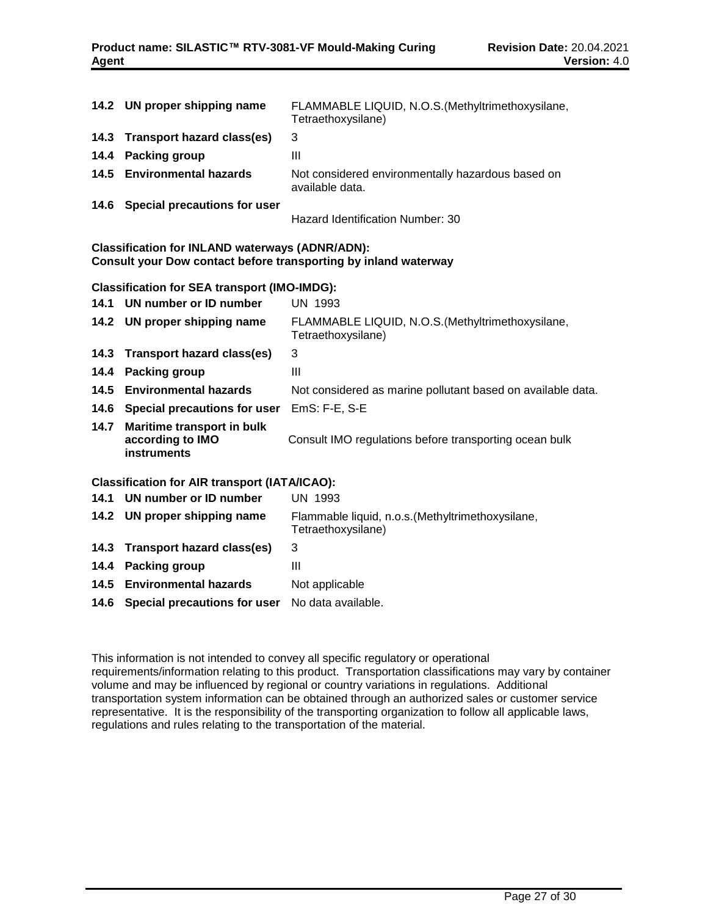|      | 14.2 UN proper shipping name      | FLAMMABLE LIQUID, N.O.S. (Methyltrimethoxysilane,<br>Tetraethoxysilane) |
|------|-----------------------------------|-------------------------------------------------------------------------|
|      | 14.3 Transport hazard class(es)   | 3                                                                       |
| 14.4 | Packing group                     | Ш                                                                       |
|      | 14.5 Environmental hazards        | Not considered environmentally hazardous based on<br>available data.    |
|      | 14.6 Special precautions for user | Hazard Identification Number: 30                                        |

## **Classification for INLAND waterways (ADNR/ADN): Consult your Dow contact before transporting by inland waterway**

## **Classification for SEA transport (IMO-IMDG):**

|      | 14.1 UN number or ID number                                          | UN 1993                                                                 |
|------|----------------------------------------------------------------------|-------------------------------------------------------------------------|
|      | 14.2 UN proper shipping name                                         | FLAMMABLE LIQUID, N.O.S. (Methyltrimethoxysilane,<br>Tetraethoxysilane) |
|      | 14.3 Transport hazard class(es)                                      | 3                                                                       |
| 14.4 | <b>Packing group</b>                                                 | Ш                                                                       |
|      | 14.5 Environmental hazards                                           | Not considered as marine pollutant based on available data.             |
|      | 14.6 Special precautions for user                                    | $EmS: F-E, S-E$                                                         |
| 14.7 | Maritime transport in bulk<br>according to IMO<br><b>instruments</b> | Consult IMO regulations before transporting ocean bulk                  |

## **Classification for AIR transport (IATA/ICAO):**

| 14.1 UN number or ID number                                 | UN 1993                                                                 |
|-------------------------------------------------------------|-------------------------------------------------------------------------|
| 14.2 UN proper shipping name                                | Flammable liquid, n.o.s. (Methyltrimethoxysilane,<br>Tetraethoxysilane) |
| 14.3 Transport hazard class(es)                             | 3                                                                       |
| 14.4 Packing group                                          | Ш                                                                       |
| 14.5 Environmental hazards                                  | Not applicable                                                          |
| <b>14.6 Special precautions for user</b> No data available. |                                                                         |

This information is not intended to convey all specific regulatory or operational requirements/information relating to this product. Transportation classifications may vary by container volume and may be influenced by regional or country variations in regulations. Additional transportation system information can be obtained through an authorized sales or customer service representative. It is the responsibility of the transporting organization to follow all applicable laws, regulations and rules relating to the transportation of the material.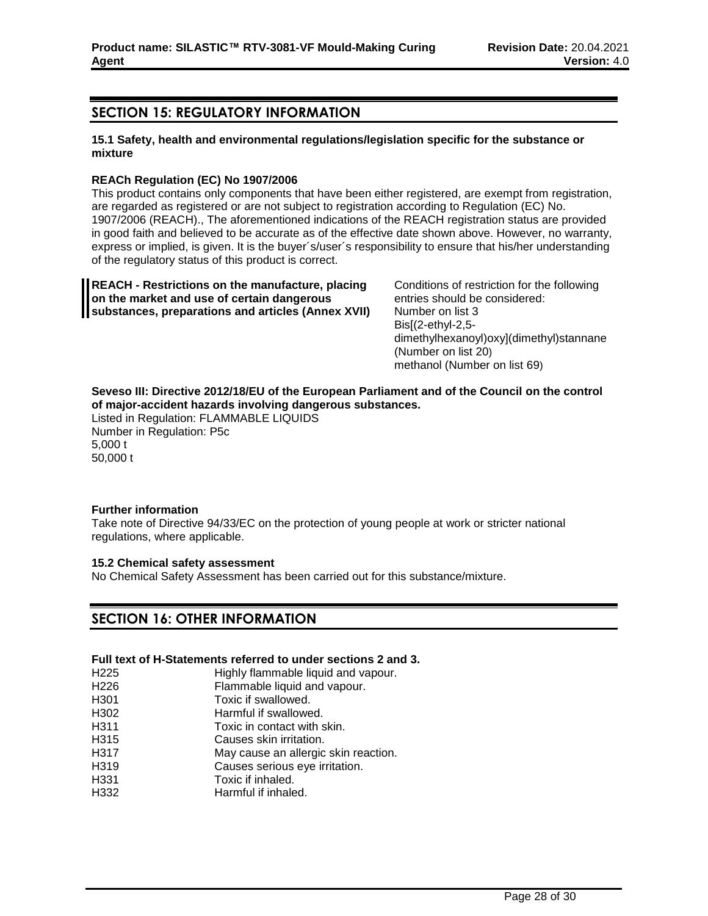## **SECTION 15: REGULATORY INFORMATION**

## **15.1 Safety, health and environmental regulations/legislation specific for the substance or mixture**

## **REACh Regulation (EC) No 1907/2006**

This product contains only components that have been either registered, are exempt from registration, are regarded as registered or are not subject to registration according to Regulation (EC) No. 1907/2006 (REACH)., The aforementioned indications of the REACH registration status are provided in good faith and believed to be accurate as of the effective date shown above. However, no warranty, express or implied, is given. It is the buyer´s/user´s responsibility to ensure that his/her understanding of the regulatory status of this product is correct.

**REACH - Restrictions on the manufacture, placing on the market and use of certain dangerous substances, preparations and articles (Annex XVII)** Conditions of restriction for the following entries should be considered: Number on list 3 Bis[(2-ethyl-2,5 dimethylhexanoyl)oxy](dimethyl)stannane (Number on list 20) methanol (Number on list 69)

## **Seveso III: Directive 2012/18/EU of the European Parliament and of the Council on the control of major-accident hazards involving dangerous substances.**

Listed in Regulation: FLAMMABLE LIQUIDS Number in Regulation: P5c 5,000 t 50,000 t

## **Further information**

Take note of Directive 94/33/EC on the protection of young people at work or stricter national regulations, where applicable.

## **15.2 Chemical safety assessment**

No Chemical Safety Assessment has been carried out for this substance/mixture.

## **SECTION 16: OTHER INFORMATION**

## **Full text of H-Statements referred to under sections 2 and 3.**

- H225 Highly flammable liquid and vapour. H226 Flammable liquid and vapour. H<sub>301</sub> Toxic if swallowed.
- H302 Harmful if swallowed.
- H311 Toxic in contact with skin.
- H315 Causes skin irritation.
- H317 May cause an allergic skin reaction.
- H319 Causes serious eye irritation.
- H331 Toxic if inhaled.
- H332 Harmful if inhaled.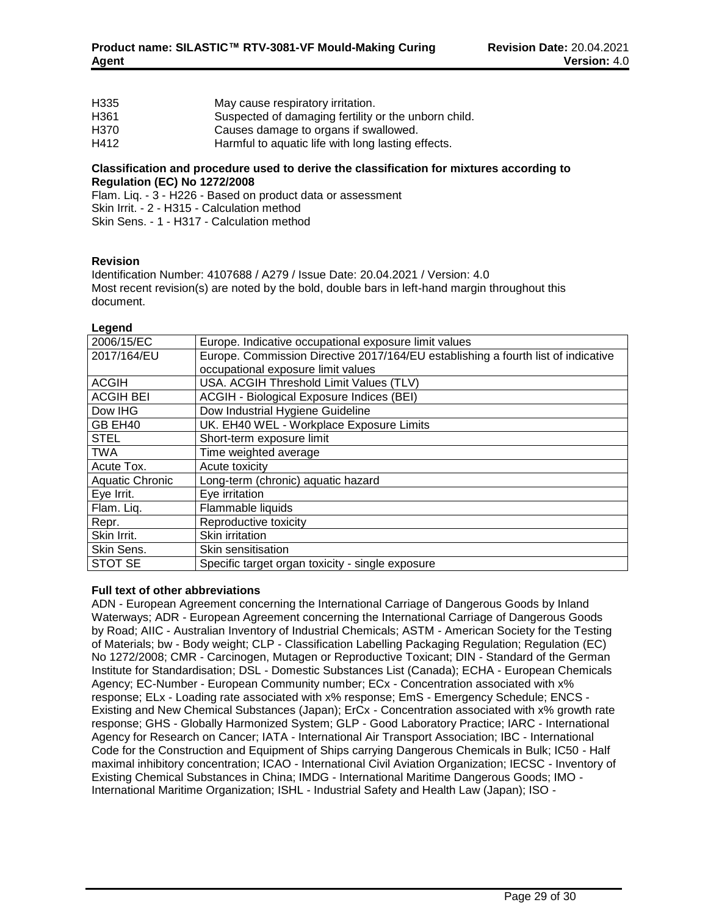| H335 | May cause respiratory irritation.                    |
|------|------------------------------------------------------|
| H361 | Suspected of damaging fertility or the unborn child. |
| H370 | Causes damage to organs if swallowed.                |
| H412 | Harmful to aquatic life with long lasting effects.   |

#### **Classification and procedure used to derive the classification for mixtures according to Regulation (EC) No 1272/2008**

Flam. Liq. - 3 - H226 - Based on product data or assessment Skin Irrit. - 2 - H315 - Calculation method Skin Sens. - 1 - H317 - Calculation method

## **Revision**

Identification Number: 4107688 / A279 / Issue Date: 20.04.2021 / Version: 4.0 Most recent revision(s) are noted by the bold, double bars in left-hand margin throughout this document.

#### **Legend**

| 2006/15/EC             | Europe. Indicative occupational exposure limit values                             |
|------------------------|-----------------------------------------------------------------------------------|
| 2017/164/EU            | Europe. Commission Directive 2017/164/EU establishing a fourth list of indicative |
|                        | occupational exposure limit values                                                |
| <b>ACGIH</b>           | USA. ACGIH Threshold Limit Values (TLV)                                           |
| <b>ACGIH BEI</b>       | ACGIH - Biological Exposure Indices (BEI)                                         |
| Dow IHG                | Dow Industrial Hygiene Guideline                                                  |
| GB EH40                | UK. EH40 WEL - Workplace Exposure Limits                                          |
| <b>STEL</b>            | Short-term exposure limit                                                         |
| <b>TWA</b>             | Time weighted average                                                             |
| Acute Tox.             | Acute toxicity                                                                    |
| <b>Aquatic Chronic</b> | Long-term (chronic) aquatic hazard                                                |
| Eye Irrit.             | Eye irritation                                                                    |
| Flam. Liq.             | Flammable liquids                                                                 |
| Repr.                  | Reproductive toxicity                                                             |
| Skin Irrit.            | Skin irritation                                                                   |
| Skin Sens.             | Skin sensitisation                                                                |
| STOT SE                | Specific target organ toxicity - single exposure                                  |

## **Full text of other abbreviations**

ADN - European Agreement concerning the International Carriage of Dangerous Goods by Inland Waterways; ADR - European Agreement concerning the International Carriage of Dangerous Goods by Road; AIIC - Australian Inventory of Industrial Chemicals; ASTM - American Society for the Testing of Materials; bw - Body weight; CLP - Classification Labelling Packaging Regulation; Regulation (EC) No 1272/2008; CMR - Carcinogen, Mutagen or Reproductive Toxicant; DIN - Standard of the German Institute for Standardisation; DSL - Domestic Substances List (Canada); ECHA - European Chemicals Agency; EC-Number - European Community number; ECx - Concentration associated with x% response; ELx - Loading rate associated with x% response; EmS - Emergency Schedule; ENCS - Existing and New Chemical Substances (Japan); ErCx - Concentration associated with x% growth rate response; GHS - Globally Harmonized System; GLP - Good Laboratory Practice; IARC - International Agency for Research on Cancer; IATA - International Air Transport Association; IBC - International Code for the Construction and Equipment of Ships carrying Dangerous Chemicals in Bulk; IC50 - Half maximal inhibitory concentration; ICAO - International Civil Aviation Organization; IECSC - Inventory of Existing Chemical Substances in China; IMDG - International Maritime Dangerous Goods; IMO - International Maritime Organization; ISHL - Industrial Safety and Health Law (Japan); ISO -